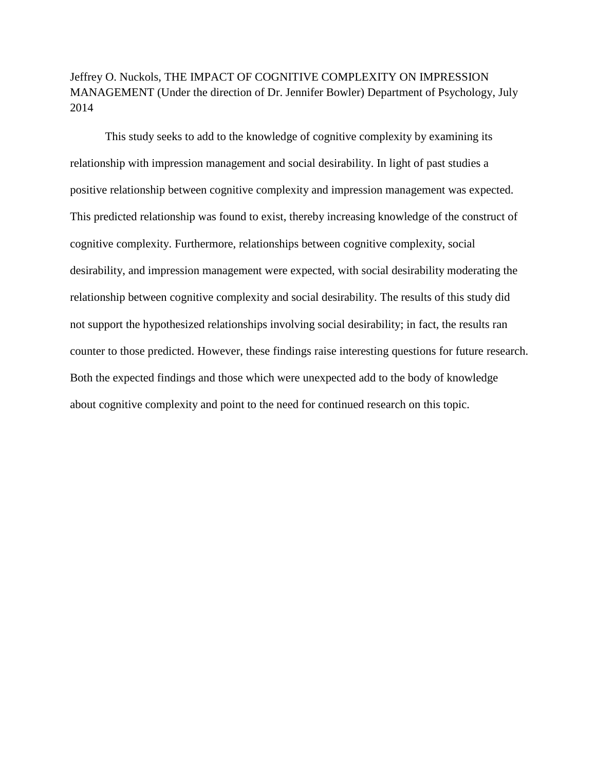Jeffrey O. Nuckols, THE IMPACT OF COGNITIVE COMPLEXITY ON IMPRESSION MANAGEMENT (Under the direction of Dr. Jennifer Bowler) Department of Psychology, July 2014

This study seeks to add to the knowledge of cognitive complexity by examining its relationship with impression management and social desirability. In light of past studies a positive relationship between cognitive complexity and impression management was expected. This predicted relationship was found to exist, thereby increasing knowledge of the construct of cognitive complexity. Furthermore, relationships between cognitive complexity, social desirability, and impression management were expected, with social desirability moderating the relationship between cognitive complexity and social desirability. The results of this study did not support the hypothesized relationships involving social desirability; in fact, the results ran counter to those predicted. However, these findings raise interesting questions for future research. Both the expected findings and those which were unexpected add to the body of knowledge about cognitive complexity and point to the need for continued research on this topic.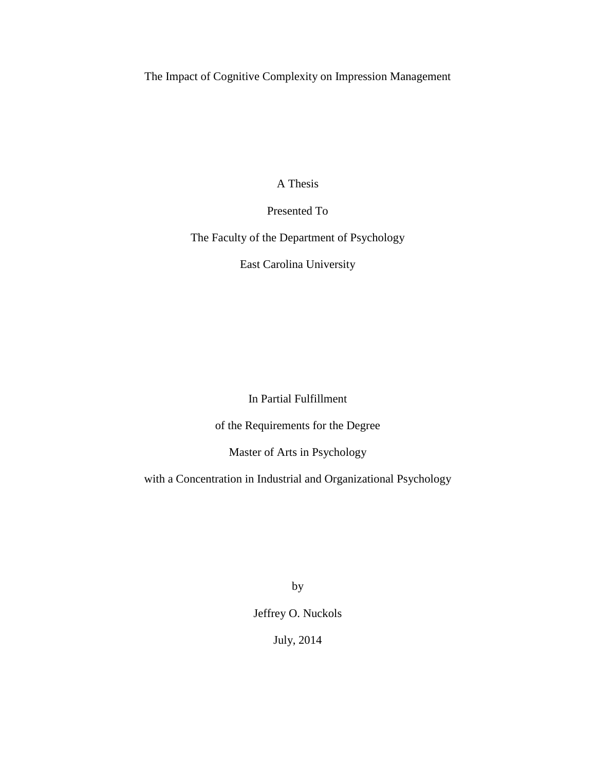The Impact of Cognitive Complexity on Impression Management

A Thesis

Presented To

The Faculty of the Department of Psychology

East Carolina University

In Partial Fulfillment

of the Requirements for the Degree

Master of Arts in Psychology

with a Concentration in Industrial and Organizational Psychology

by

Jeffrey O. Nuckols

July, 2014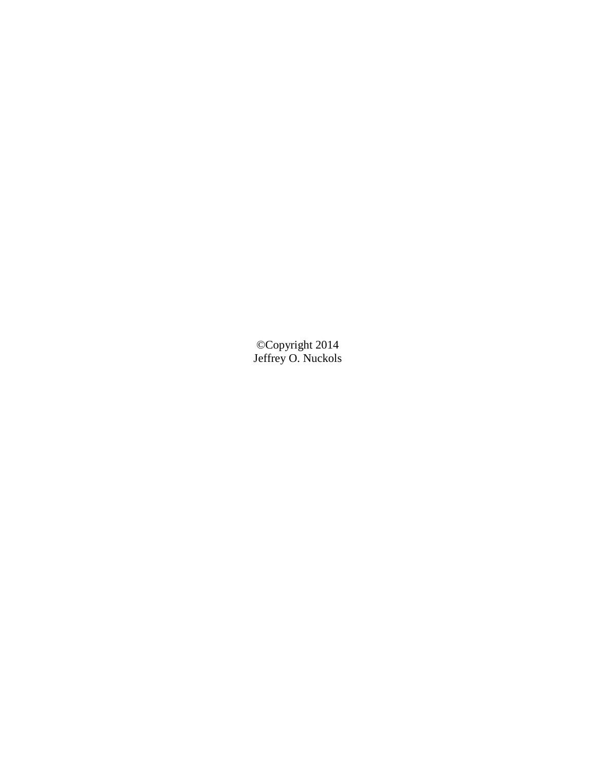©Copyright 2014 Jeffrey O. Nuckols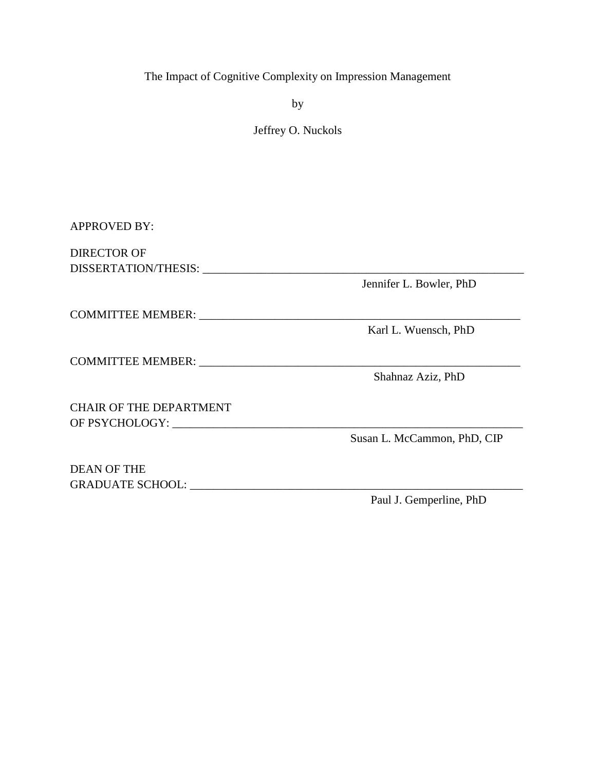# The Impact of Cognitive Complexity on Impression Management

by

Jeffrey O. Nuckols

APPROVED BY: DIRECTOR OF

DISSERTATION/THESIS: \_\_\_\_\_\_\_\_\_\_\_\_\_\_\_\_\_\_\_\_\_\_\_\_\_\_\_\_\_\_\_\_\_\_\_\_\_\_\_\_\_\_\_\_\_\_\_\_\_\_\_\_\_\_\_

COMMITTEE MEMBER: \_\_\_\_\_\_\_\_\_\_\_\_\_\_\_\_\_\_\_\_\_\_\_\_\_\_\_\_\_\_\_\_\_\_\_\_\_\_\_\_\_\_\_\_\_\_\_\_\_\_\_\_\_\_\_

COMMITTEE MEMBER: \_\_\_\_\_\_\_\_\_\_\_\_\_\_\_\_\_\_\_\_\_\_\_\_\_\_\_\_\_\_\_\_\_\_\_\_\_\_\_\_\_\_\_\_\_\_\_\_\_\_\_\_\_\_\_

CHAIR OF THE DEPARTMENT OF PSYCHOLOGY:

DEAN OF THE GRADUATE SCHOOL: \_\_\_\_\_\_\_\_\_\_\_\_\_\_\_\_\_\_\_\_\_\_\_\_\_\_\_\_\_\_\_\_\_\_\_\_\_\_\_\_\_\_\_\_\_\_\_\_\_\_\_\_\_\_\_\_\_

Jennifer L. Bowler, PhD

Karl L. Wuensch, PhD

Shahnaz Aziz, PhD

Susan L. McCammon, PhD, CIP

Paul J. Gemperline, PhD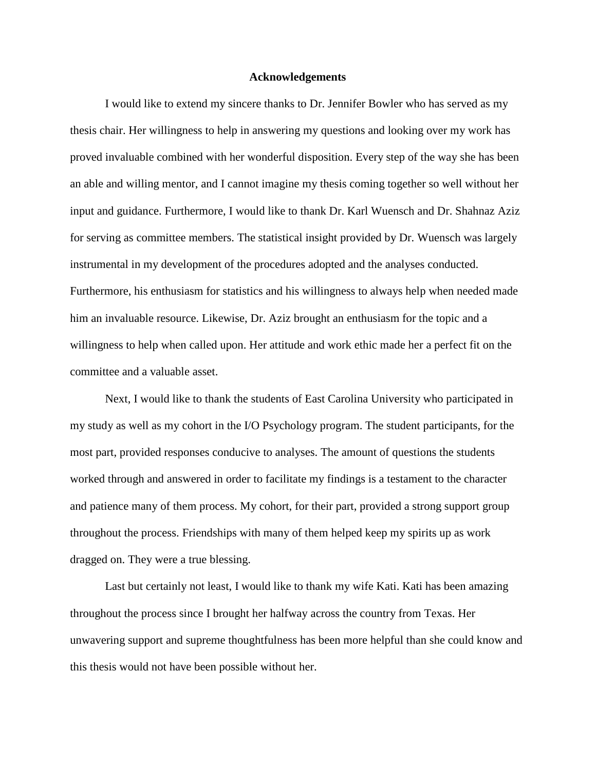#### **Acknowledgements**

I would like to extend my sincere thanks to Dr. Jennifer Bowler who has served as my thesis chair. Her willingness to help in answering my questions and looking over my work has proved invaluable combined with her wonderful disposition. Every step of the way she has been an able and willing mentor, and I cannot imagine my thesis coming together so well without her input and guidance. Furthermore, I would like to thank Dr. Karl Wuensch and Dr. Shahnaz Aziz for serving as committee members. The statistical insight provided by Dr. Wuensch was largely instrumental in my development of the procedures adopted and the analyses conducted. Furthermore, his enthusiasm for statistics and his willingness to always help when needed made him an invaluable resource. Likewise, Dr. Aziz brought an enthusiasm for the topic and a willingness to help when called upon. Her attitude and work ethic made her a perfect fit on the committee and a valuable asset.

Next, I would like to thank the students of East Carolina University who participated in my study as well as my cohort in the I/O Psychology program. The student participants, for the most part, provided responses conducive to analyses. The amount of questions the students worked through and answered in order to facilitate my findings is a testament to the character and patience many of them process. My cohort, for their part, provided a strong support group throughout the process. Friendships with many of them helped keep my spirits up as work dragged on. They were a true blessing.

Last but certainly not least, I would like to thank my wife Kati. Kati has been amazing throughout the process since I brought her halfway across the country from Texas. Her unwavering support and supreme thoughtfulness has been more helpful than she could know and this thesis would not have been possible without her.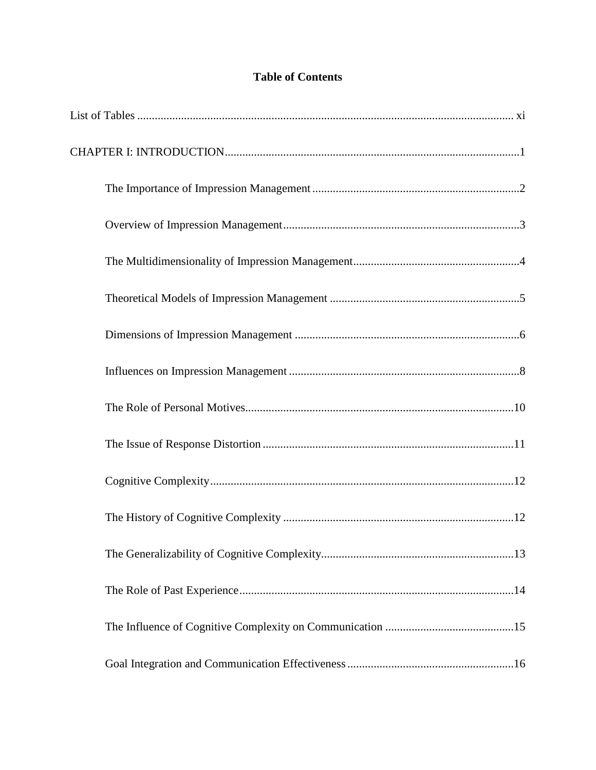# **Table of Contents**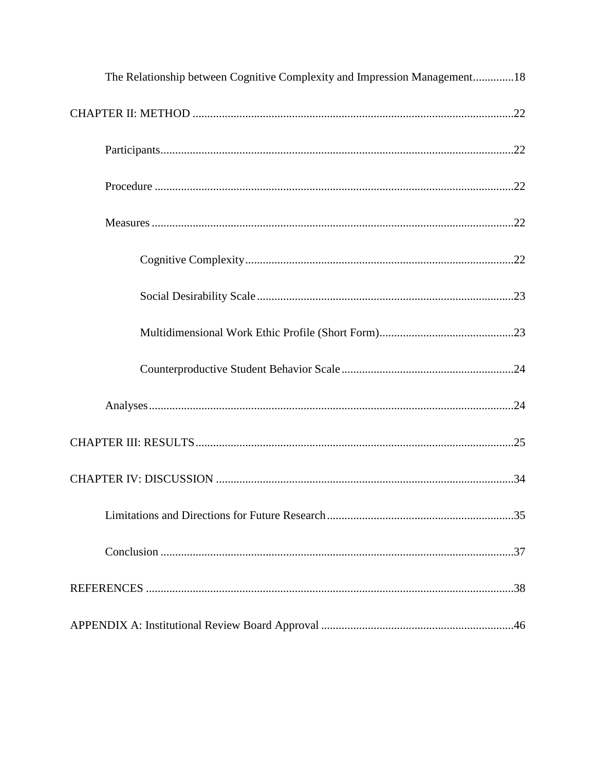| The Relationship between Cognitive Complexity and Impression Management18 |
|---------------------------------------------------------------------------|
|                                                                           |
|                                                                           |
|                                                                           |
|                                                                           |
|                                                                           |
|                                                                           |
|                                                                           |
|                                                                           |
|                                                                           |
|                                                                           |
|                                                                           |
|                                                                           |
|                                                                           |
|                                                                           |
|                                                                           |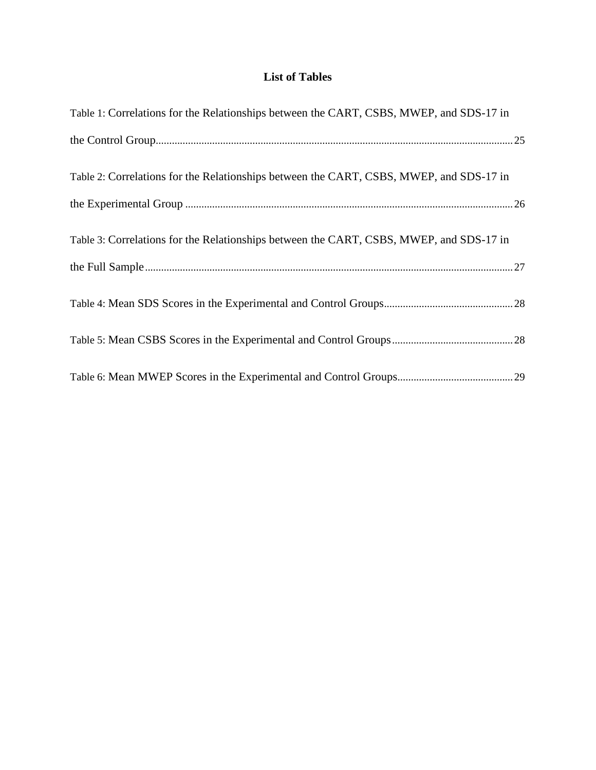# **List of Tables**

| Table 1: Correlations for the Relationships between the CART, CSBS, MWEP, and SDS-17 in |
|-----------------------------------------------------------------------------------------|
|                                                                                         |
| Table 2: Correlations for the Relationships between the CART, CSBS, MWEP, and SDS-17 in |
|                                                                                         |
| Table 3: Correlations for the Relationships between the CART, CSBS, MWEP, and SDS-17 in |
|                                                                                         |
|                                                                                         |
|                                                                                         |
|                                                                                         |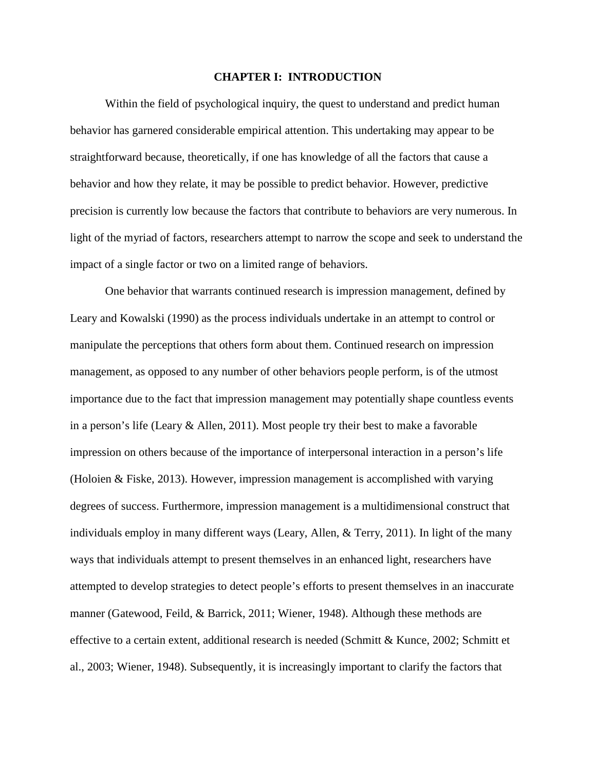## **CHAPTER I: INTRODUCTION**

Within the field of psychological inquiry, the quest to understand and predict human behavior has garnered considerable empirical attention. This undertaking may appear to be straightforward because, theoretically, if one has knowledge of all the factors that cause a behavior and how they relate, it may be possible to predict behavior. However, predictive precision is currently low because the factors that contribute to behaviors are very numerous. In light of the myriad of factors, researchers attempt to narrow the scope and seek to understand the impact of a single factor or two on a limited range of behaviors.

One behavior that warrants continued research is impression management, defined by Leary and Kowalski (1990) as the process individuals undertake in an attempt to control or manipulate the perceptions that others form about them. Continued research on impression management, as opposed to any number of other behaviors people perform, is of the utmost importance due to the fact that impression management may potentially shape countless events in a person's life (Leary  $\&$  Allen, 2011). Most people try their best to make a favorable impression on others because of the importance of interpersonal interaction in a person's life (Holoien & Fiske, 2013). However, impression management is accomplished with varying degrees of success. Furthermore, impression management is a multidimensional construct that individuals employ in many different ways (Leary, Allen, & Terry, 2011). In light of the many ways that individuals attempt to present themselves in an enhanced light, researchers have attempted to develop strategies to detect people's efforts to present themselves in an inaccurate manner (Gatewood, Feild, & Barrick, 2011; Wiener, 1948). Although these methods are effective to a certain extent, additional research is needed (Schmitt & Kunce, 2002; Schmitt et al., 2003; Wiener, 1948). Subsequently, it is increasingly important to clarify the factors that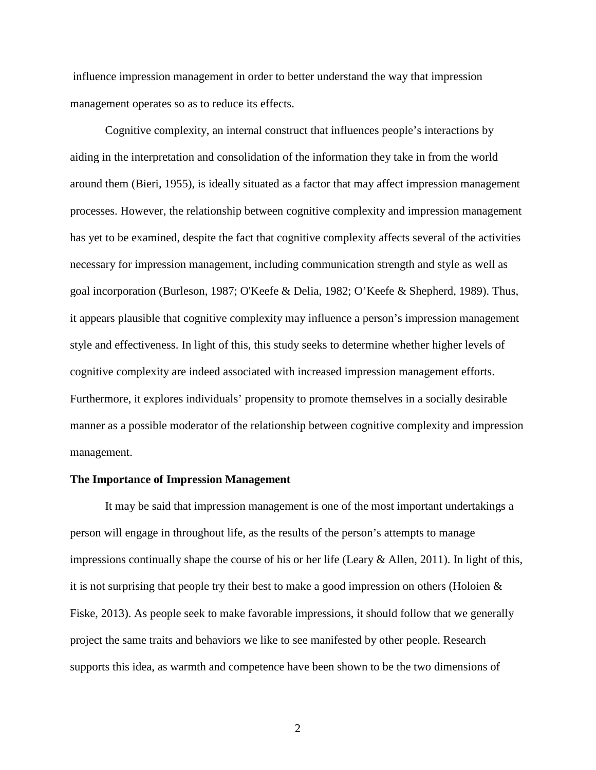influence impression management in order to better understand the way that impression management operates so as to reduce its effects.

Cognitive complexity, an internal construct that influences people's interactions by aiding in the interpretation and consolidation of the information they take in from the world around them (Bieri, 1955), is ideally situated as a factor that may affect impression management processes. However, the relationship between cognitive complexity and impression management has yet to be examined, despite the fact that cognitive complexity affects several of the activities necessary for impression management, including communication strength and style as well as goal incorporation (Burleson, 1987; O'Keefe & Delia, 1982; O'Keefe & Shepherd, 1989). Thus, it appears plausible that cognitive complexity may influence a person's impression management style and effectiveness. In light of this, this study seeks to determine whether higher levels of cognitive complexity are indeed associated with increased impression management efforts. Furthermore, it explores individuals' propensity to promote themselves in a socially desirable manner as a possible moderator of the relationship between cognitive complexity and impression management.

# **The Importance of Impression Management**

It may be said that impression management is one of the most important undertakings a person will engage in throughout life, as the results of the person's attempts to manage impressions continually shape the course of his or her life (Leary  $\&$  Allen, 2011). In light of this, it is not surprising that people try their best to make a good impression on others (Holoien & Fiske, 2013). As people seek to make favorable impressions, it should follow that we generally project the same traits and behaviors we like to see manifested by other people. Research supports this idea, as warmth and competence have been shown to be the two dimensions of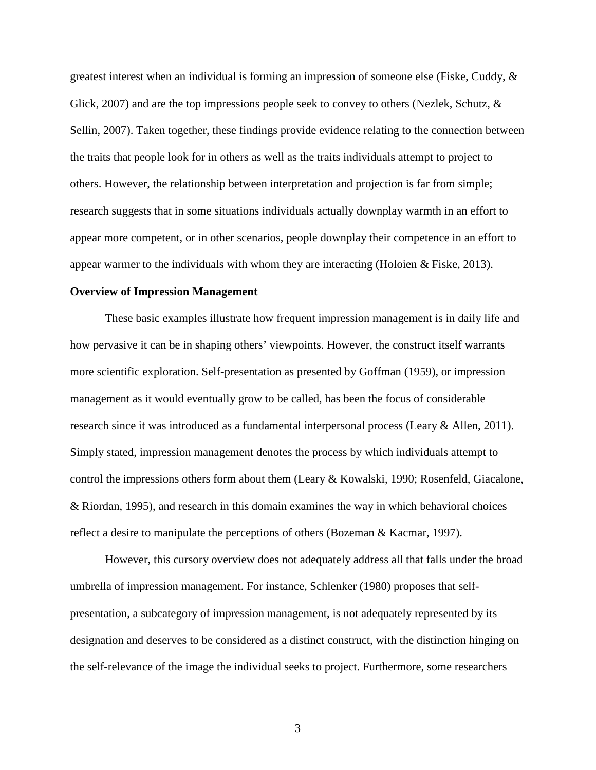greatest interest when an individual is forming an impression of someone else (Fiske, Cuddy,  $\&$ Glick, 2007) and are the top impressions people seek to convey to others (Nezlek, Schutz, & Sellin, 2007). Taken together, these findings provide evidence relating to the connection between the traits that people look for in others as well as the traits individuals attempt to project to others. However, the relationship between interpretation and projection is far from simple; research suggests that in some situations individuals actually downplay warmth in an effort to appear more competent, or in other scenarios, people downplay their competence in an effort to appear warmer to the individuals with whom they are interacting (Holoien & Fiske, 2013).

#### **Overview of Impression Management**

These basic examples illustrate how frequent impression management is in daily life and how pervasive it can be in shaping others' viewpoints. However, the construct itself warrants more scientific exploration. Self-presentation as presented by Goffman (1959), or impression management as it would eventually grow to be called, has been the focus of considerable research since it was introduced as a fundamental interpersonal process (Leary & Allen, 2011). Simply stated, impression management denotes the process by which individuals attempt to control the impressions others form about them (Leary & Kowalski, 1990; Rosenfeld, Giacalone, & Riordan, 1995), and research in this domain examines the way in which behavioral choices reflect a desire to manipulate the perceptions of others (Bozeman & Kacmar, 1997).

However, this cursory overview does not adequately address all that falls under the broad umbrella of impression management. For instance, Schlenker (1980) proposes that selfpresentation, a subcategory of impression management, is not adequately represented by its designation and deserves to be considered as a distinct construct, with the distinction hinging on the self-relevance of the image the individual seeks to project. Furthermore, some researchers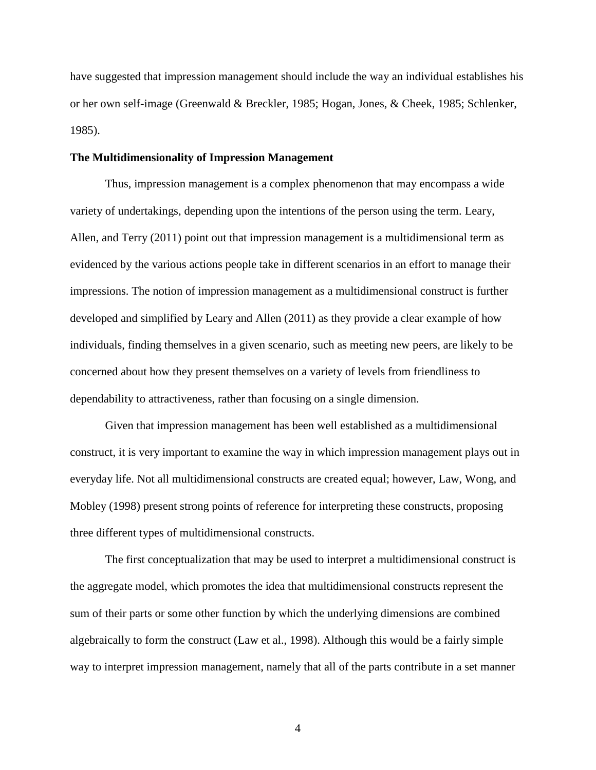have suggested that impression management should include the way an individual establishes his or her own self-image (Greenwald & Breckler, 1985; Hogan, Jones, & Cheek, 1985; Schlenker, 1985).

# **The Multidimensionality of Impression Management**

Thus, impression management is a complex phenomenon that may encompass a wide variety of undertakings, depending upon the intentions of the person using the term. Leary, Allen, and Terry (2011) point out that impression management is a multidimensional term as evidenced by the various actions people take in different scenarios in an effort to manage their impressions. The notion of impression management as a multidimensional construct is further developed and simplified by Leary and Allen (2011) as they provide a clear example of how individuals, finding themselves in a given scenario, such as meeting new peers, are likely to be concerned about how they present themselves on a variety of levels from friendliness to dependability to attractiveness, rather than focusing on a single dimension.

Given that impression management has been well established as a multidimensional construct, it is very important to examine the way in which impression management plays out in everyday life. Not all multidimensional constructs are created equal; however, Law, Wong, and Mobley (1998) present strong points of reference for interpreting these constructs, proposing three different types of multidimensional constructs.

The first conceptualization that may be used to interpret a multidimensional construct is the aggregate model, which promotes the idea that multidimensional constructs represent the sum of their parts or some other function by which the underlying dimensions are combined algebraically to form the construct (Law et al., 1998). Although this would be a fairly simple way to interpret impression management, namely that all of the parts contribute in a set manner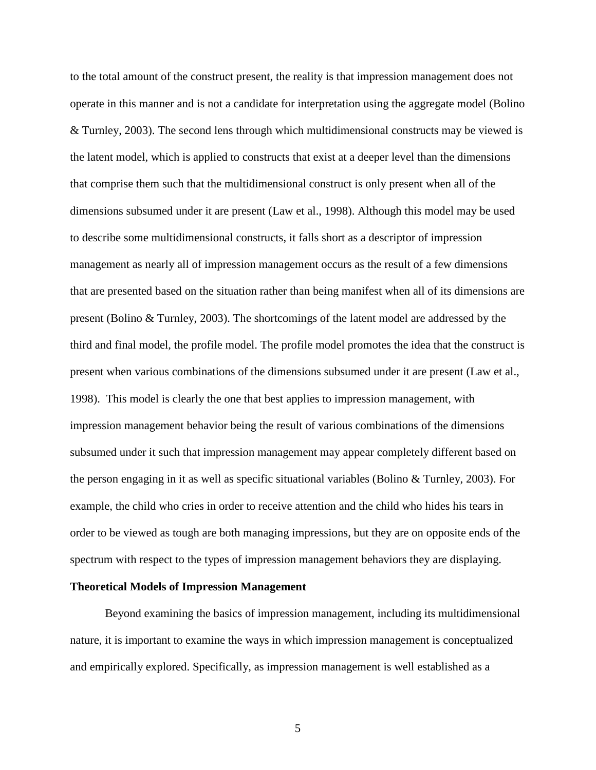to the total amount of the construct present, the reality is that impression management does not operate in this manner and is not a candidate for interpretation using the aggregate model (Bolino & Turnley, 2003). The second lens through which multidimensional constructs may be viewed is the latent model, which is applied to constructs that exist at a deeper level than the dimensions that comprise them such that the multidimensional construct is only present when all of the dimensions subsumed under it are present (Law et al., 1998). Although this model may be used to describe some multidimensional constructs, it falls short as a descriptor of impression management as nearly all of impression management occurs as the result of a few dimensions that are presented based on the situation rather than being manifest when all of its dimensions are present (Bolino & Turnley, 2003). The shortcomings of the latent model are addressed by the third and final model, the profile model. The profile model promotes the idea that the construct is present when various combinations of the dimensions subsumed under it are present (Law et al., 1998). This model is clearly the one that best applies to impression management, with impression management behavior being the result of various combinations of the dimensions subsumed under it such that impression management may appear completely different based on the person engaging in it as well as specific situational variables (Bolino & Turnley, 2003). For example, the child who cries in order to receive attention and the child who hides his tears in order to be viewed as tough are both managing impressions, but they are on opposite ends of the spectrum with respect to the types of impression management behaviors they are displaying.

# **Theoretical Models of Impression Management**

Beyond examining the basics of impression management, including its multidimensional nature, it is important to examine the ways in which impression management is conceptualized and empirically explored. Specifically, as impression management is well established as a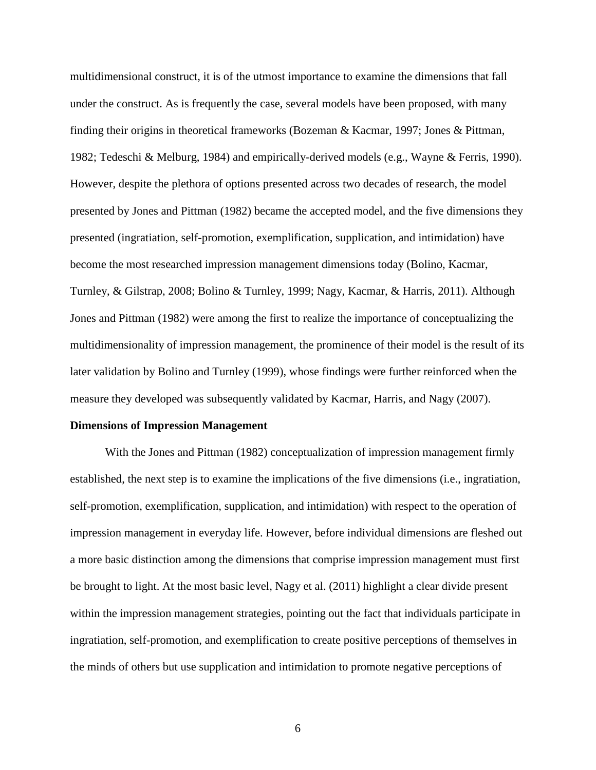multidimensional construct, it is of the utmost importance to examine the dimensions that fall under the construct. As is frequently the case, several models have been proposed, with many finding their origins in theoretical frameworks (Bozeman & Kacmar, 1997; Jones & Pittman, 1982; Tedeschi & Melburg, 1984) and empirically-derived models (e.g., Wayne & Ferris, 1990). However, despite the plethora of options presented across two decades of research, the model presented by Jones and Pittman (1982) became the accepted model, and the five dimensions they presented (ingratiation, self-promotion, exemplification, supplication, and intimidation) have become the most researched impression management dimensions today (Bolino, Kacmar, Turnley, & Gilstrap, 2008; Bolino & Turnley, 1999; Nagy, Kacmar, & Harris, 2011). Although Jones and Pittman (1982) were among the first to realize the importance of conceptualizing the multidimensionality of impression management, the prominence of their model is the result of its later validation by Bolino and Turnley (1999), whose findings were further reinforced when the measure they developed was subsequently validated by Kacmar, Harris, and Nagy (2007).

# **Dimensions of Impression Management**

With the Jones and Pittman (1982) conceptualization of impression management firmly established, the next step is to examine the implications of the five dimensions (i.e., ingratiation, self-promotion, exemplification, supplication, and intimidation) with respect to the operation of impression management in everyday life. However, before individual dimensions are fleshed out a more basic distinction among the dimensions that comprise impression management must first be brought to light. At the most basic level, Nagy et al. (2011) highlight a clear divide present within the impression management strategies, pointing out the fact that individuals participate in ingratiation, self-promotion, and exemplification to create positive perceptions of themselves in the minds of others but use supplication and intimidation to promote negative perceptions of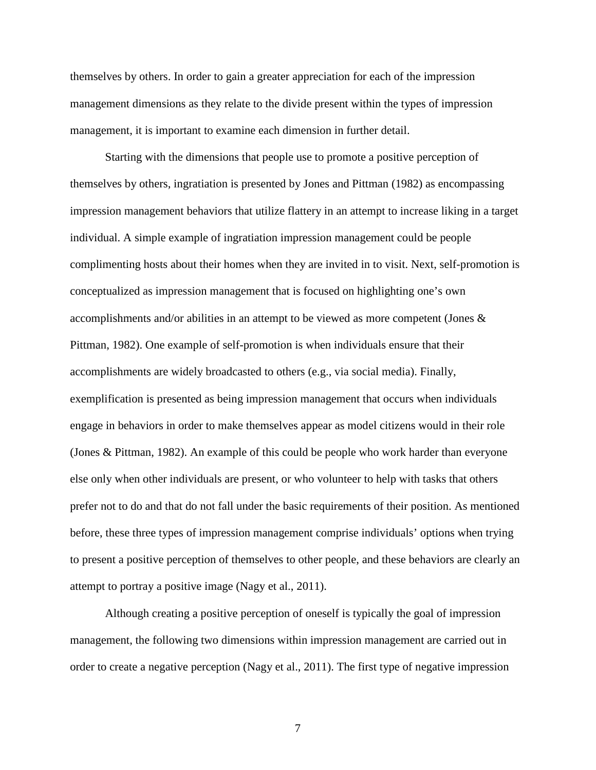themselves by others. In order to gain a greater appreciation for each of the impression management dimensions as they relate to the divide present within the types of impression management, it is important to examine each dimension in further detail.

Starting with the dimensions that people use to promote a positive perception of themselves by others, ingratiation is presented by Jones and Pittman (1982) as encompassing impression management behaviors that utilize flattery in an attempt to increase liking in a target individual. A simple example of ingratiation impression management could be people complimenting hosts about their homes when they are invited in to visit. Next, self-promotion is conceptualized as impression management that is focused on highlighting one's own accomplishments and/or abilities in an attempt to be viewed as more competent (Jones & Pittman, 1982). One example of self-promotion is when individuals ensure that their accomplishments are widely broadcasted to others (e.g., via social media). Finally, exemplification is presented as being impression management that occurs when individuals engage in behaviors in order to make themselves appear as model citizens would in their role (Jones & Pittman, 1982). An example of this could be people who work harder than everyone else only when other individuals are present, or who volunteer to help with tasks that others prefer not to do and that do not fall under the basic requirements of their position. As mentioned before, these three types of impression management comprise individuals' options when trying to present a positive perception of themselves to other people, and these behaviors are clearly an attempt to portray a positive image (Nagy et al., 2011).

Although creating a positive perception of oneself is typically the goal of impression management, the following two dimensions within impression management are carried out in order to create a negative perception (Nagy et al., 2011). The first type of negative impression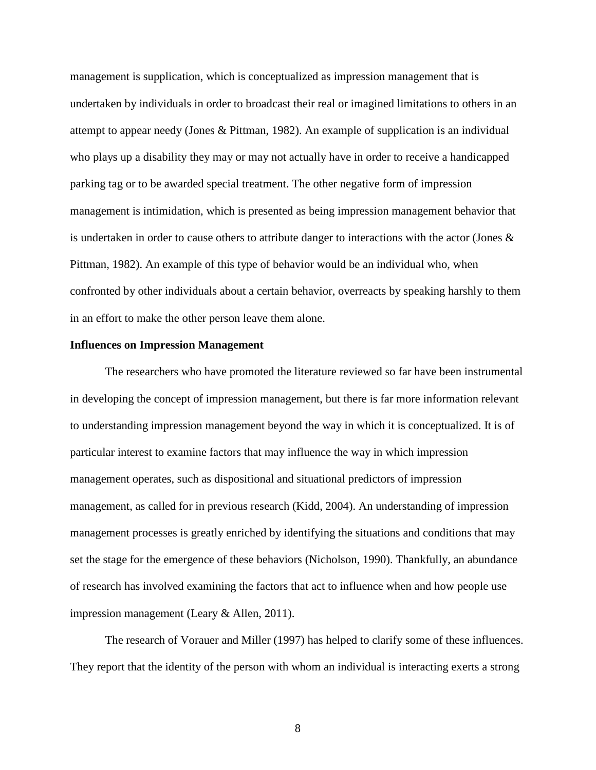management is supplication, which is conceptualized as impression management that is undertaken by individuals in order to broadcast their real or imagined limitations to others in an attempt to appear needy (Jones & Pittman, 1982). An example of supplication is an individual who plays up a disability they may or may not actually have in order to receive a handicapped parking tag or to be awarded special treatment. The other negative form of impression management is intimidation, which is presented as being impression management behavior that is undertaken in order to cause others to attribute danger to interactions with the actor (Jones & Pittman, 1982). An example of this type of behavior would be an individual who, when confronted by other individuals about a certain behavior, overreacts by speaking harshly to them in an effort to make the other person leave them alone.

#### **Influences on Impression Management**

The researchers who have promoted the literature reviewed so far have been instrumental in developing the concept of impression management, but there is far more information relevant to understanding impression management beyond the way in which it is conceptualized. It is of particular interest to examine factors that may influence the way in which impression management operates, such as dispositional and situational predictors of impression management, as called for in previous research (Kidd, 2004). An understanding of impression management processes is greatly enriched by identifying the situations and conditions that may set the stage for the emergence of these behaviors (Nicholson, 1990). Thankfully, an abundance of research has involved examining the factors that act to influence when and how people use impression management (Leary & Allen, 2011).

The research of Vorauer and Miller (1997) has helped to clarify some of these influences. They report that the identity of the person with whom an individual is interacting exerts a strong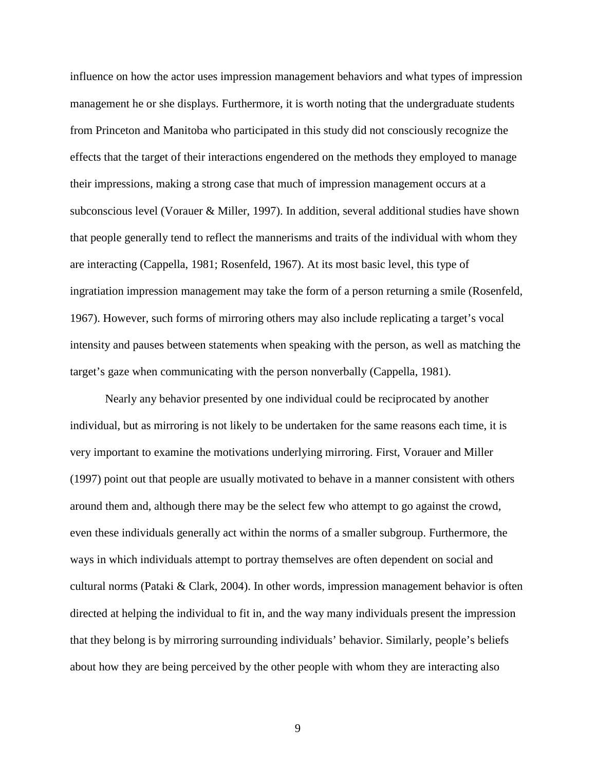influence on how the actor uses impression management behaviors and what types of impression management he or she displays. Furthermore, it is worth noting that the undergraduate students from Princeton and Manitoba who participated in this study did not consciously recognize the effects that the target of their interactions engendered on the methods they employed to manage their impressions, making a strong case that much of impression management occurs at a subconscious level (Vorauer & Miller, 1997). In addition, several additional studies have shown that people generally tend to reflect the mannerisms and traits of the individual with whom they are interacting (Cappella, 1981; Rosenfeld, 1967). At its most basic level, this type of ingratiation impression management may take the form of a person returning a smile (Rosenfeld, 1967). However, such forms of mirroring others may also include replicating a target's vocal intensity and pauses between statements when speaking with the person, as well as matching the target's gaze when communicating with the person nonverbally (Cappella, 1981).

Nearly any behavior presented by one individual could be reciprocated by another individual, but as mirroring is not likely to be undertaken for the same reasons each time, it is very important to examine the motivations underlying mirroring. First, Vorauer and Miller (1997) point out that people are usually motivated to behave in a manner consistent with others around them and, although there may be the select few who attempt to go against the crowd, even these individuals generally act within the norms of a smaller subgroup. Furthermore, the ways in which individuals attempt to portray themselves are often dependent on social and cultural norms (Pataki & Clark, 2004). In other words, impression management behavior is often directed at helping the individual to fit in, and the way many individuals present the impression that they belong is by mirroring surrounding individuals' behavior. Similarly, people's beliefs about how they are being perceived by the other people with whom they are interacting also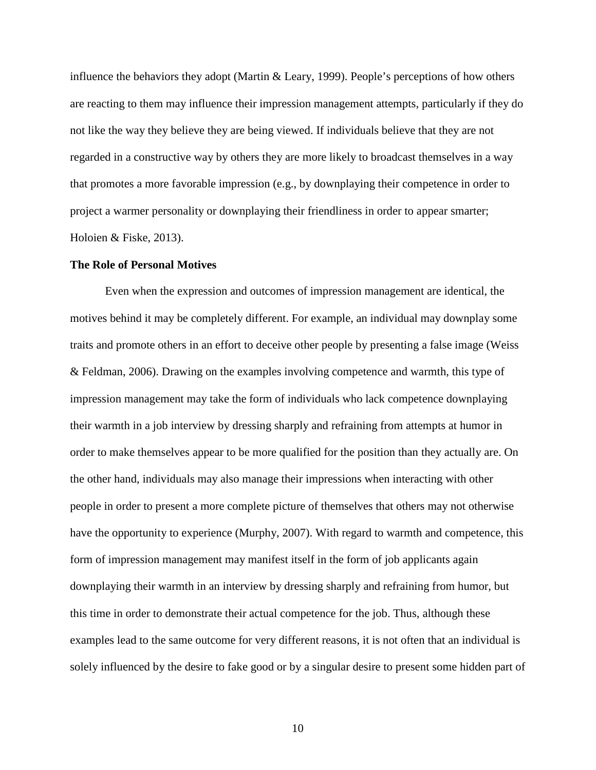influence the behaviors they adopt (Martin & Leary, 1999). People's perceptions of how others are reacting to them may influence their impression management attempts, particularly if they do not like the way they believe they are being viewed. If individuals believe that they are not regarded in a constructive way by others they are more likely to broadcast themselves in a way that promotes a more favorable impression (e.g., by downplaying their competence in order to project a warmer personality or downplaying their friendliness in order to appear smarter; Holoien & Fiske, 2013).

### **The Role of Personal Motives**

Even when the expression and outcomes of impression management are identical, the motives behind it may be completely different. For example, an individual may downplay some traits and promote others in an effort to deceive other people by presenting a false image (Weiss & Feldman, 2006). Drawing on the examples involving competence and warmth, this type of impression management may take the form of individuals who lack competence downplaying their warmth in a job interview by dressing sharply and refraining from attempts at humor in order to make themselves appear to be more qualified for the position than they actually are. On the other hand, individuals may also manage their impressions when interacting with other people in order to present a more complete picture of themselves that others may not otherwise have the opportunity to experience (Murphy, 2007). With regard to warmth and competence, this form of impression management may manifest itself in the form of job applicants again downplaying their warmth in an interview by dressing sharply and refraining from humor, but this time in order to demonstrate their actual competence for the job. Thus, although these examples lead to the same outcome for very different reasons, it is not often that an individual is solely influenced by the desire to fake good or by a singular desire to present some hidden part of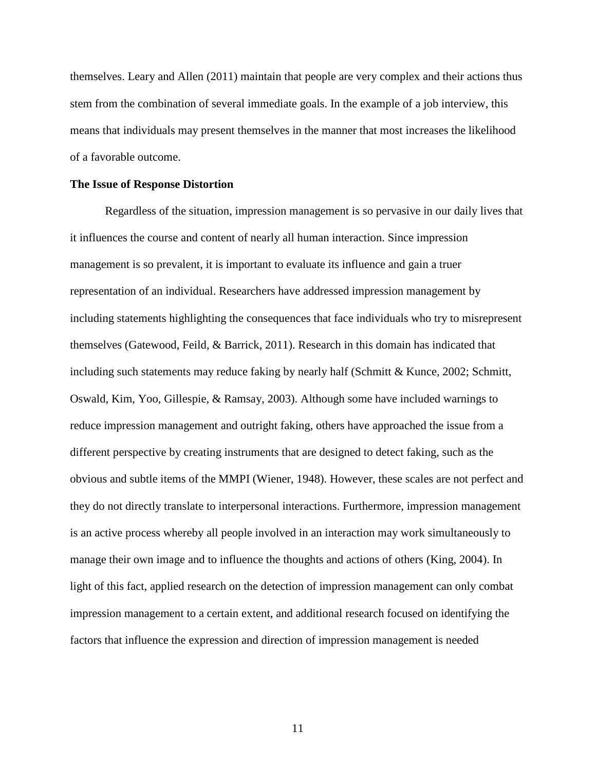themselves. Leary and Allen (2011) maintain that people are very complex and their actions thus stem from the combination of several immediate goals. In the example of a job interview, this means that individuals may present themselves in the manner that most increases the likelihood of a favorable outcome.

#### **The Issue of Response Distortion**

Regardless of the situation, impression management is so pervasive in our daily lives that it influences the course and content of nearly all human interaction. Since impression management is so prevalent, it is important to evaluate its influence and gain a truer representation of an individual. Researchers have addressed impression management by including statements highlighting the consequences that face individuals who try to misrepresent themselves (Gatewood, Feild, & Barrick, 2011). Research in this domain has indicated that including such statements may reduce faking by nearly half (Schmitt  $\&$  Kunce, 2002; Schmitt, Oswald, Kim, Yoo, Gillespie, & Ramsay, 2003). Although some have included warnings to reduce impression management and outright faking, others have approached the issue from a different perspective by creating instruments that are designed to detect faking, such as the obvious and subtle items of the MMPI (Wiener, 1948). However, these scales are not perfect and they do not directly translate to interpersonal interactions. Furthermore, impression management is an active process whereby all people involved in an interaction may work simultaneously to manage their own image and to influence the thoughts and actions of others (King, 2004). In light of this fact, applied research on the detection of impression management can only combat impression management to a certain extent, and additional research focused on identifying the factors that influence the expression and direction of impression management is needed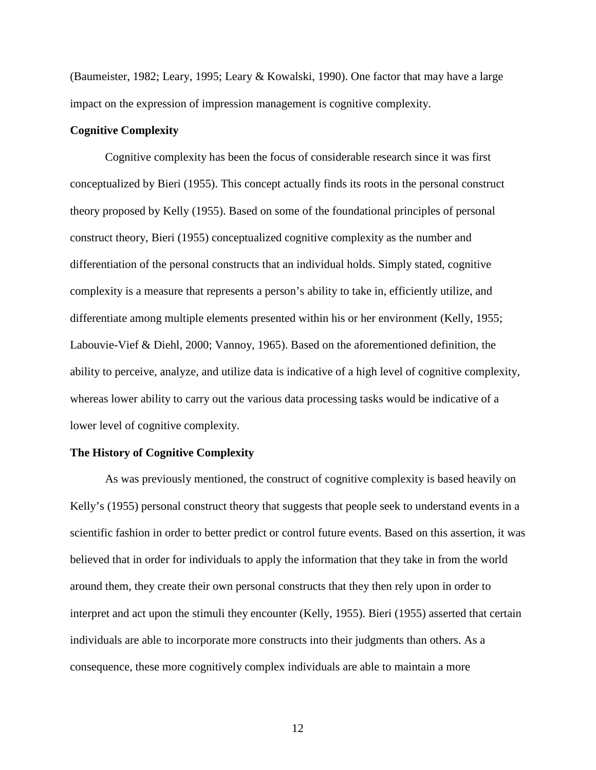(Baumeister, 1982; Leary, 1995; Leary & Kowalski, 1990). One factor that may have a large impact on the expression of impression management is cognitive complexity.

# **Cognitive Complexity**

 Cognitive complexity has been the focus of considerable research since it was first conceptualized by Bieri (1955). This concept actually finds its roots in the personal construct theory proposed by Kelly (1955). Based on some of the foundational principles of personal construct theory, Bieri (1955) conceptualized cognitive complexity as the number and differentiation of the personal constructs that an individual holds. Simply stated, cognitive complexity is a measure that represents a person's ability to take in, efficiently utilize, and differentiate among multiple elements presented within his or her environment (Kelly, 1955; Labouvie-Vief & Diehl, 2000; Vannoy, 1965). Based on the aforementioned definition, the ability to perceive, analyze, and utilize data is indicative of a high level of cognitive complexity, whereas lower ability to carry out the various data processing tasks would be indicative of a lower level of cognitive complexity.

# **The History of Cognitive Complexity**

As was previously mentioned, the construct of cognitive complexity is based heavily on Kelly's (1955) personal construct theory that suggests that people seek to understand events in a scientific fashion in order to better predict or control future events. Based on this assertion, it was believed that in order for individuals to apply the information that they take in from the world around them, they create their own personal constructs that they then rely upon in order to interpret and act upon the stimuli they encounter (Kelly, 1955). Bieri (1955) asserted that certain individuals are able to incorporate more constructs into their judgments than others. As a consequence, these more cognitively complex individuals are able to maintain a more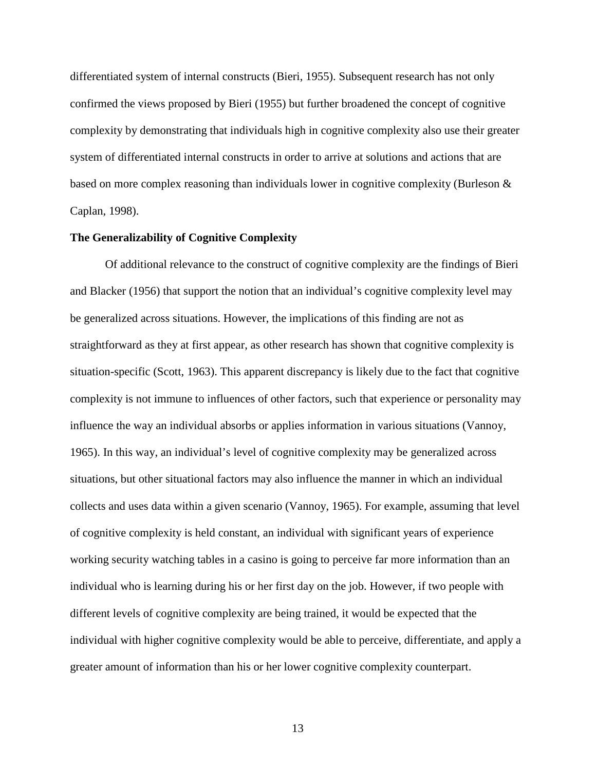differentiated system of internal constructs (Bieri, 1955). Subsequent research has not only confirmed the views proposed by Bieri (1955) but further broadened the concept of cognitive complexity by demonstrating that individuals high in cognitive complexity also use their greater system of differentiated internal constructs in order to arrive at solutions and actions that are based on more complex reasoning than individuals lower in cognitive complexity (Burleson & Caplan, 1998).

# **The Generalizability of Cognitive Complexity**

Of additional relevance to the construct of cognitive complexity are the findings of Bieri and Blacker (1956) that support the notion that an individual's cognitive complexity level may be generalized across situations. However, the implications of this finding are not as straightforward as they at first appear, as other research has shown that cognitive complexity is situation-specific (Scott, 1963). This apparent discrepancy is likely due to the fact that cognitive complexity is not immune to influences of other factors, such that experience or personality may influence the way an individual absorbs or applies information in various situations (Vannoy, 1965). In this way, an individual's level of cognitive complexity may be generalized across situations, but other situational factors may also influence the manner in which an individual collects and uses data within a given scenario (Vannoy, 1965). For example, assuming that level of cognitive complexity is held constant, an individual with significant years of experience working security watching tables in a casino is going to perceive far more information than an individual who is learning during his or her first day on the job. However, if two people with different levels of cognitive complexity are being trained, it would be expected that the individual with higher cognitive complexity would be able to perceive, differentiate, and apply a greater amount of information than his or her lower cognitive complexity counterpart.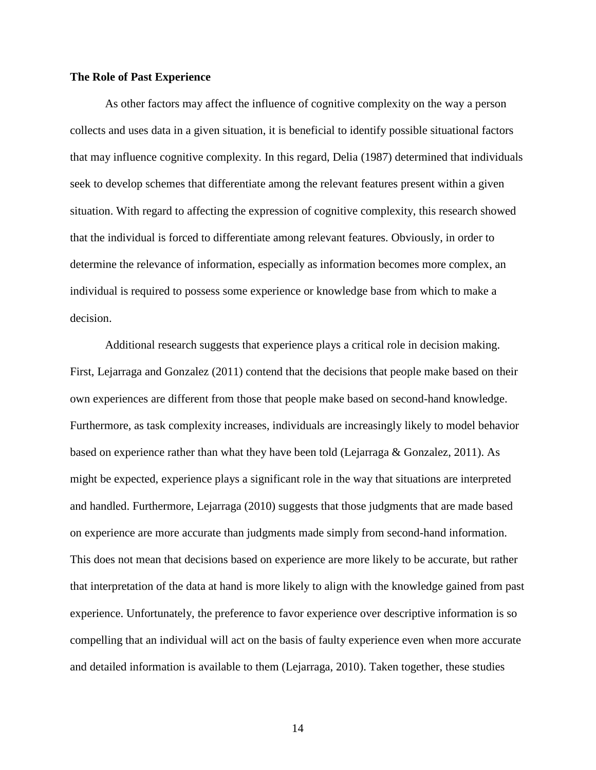# **The Role of Past Experience**

 As other factors may affect the influence of cognitive complexity on the way a person collects and uses data in a given situation, it is beneficial to identify possible situational factors that may influence cognitive complexity. In this regard, Delia (1987) determined that individuals seek to develop schemes that differentiate among the relevant features present within a given situation. With regard to affecting the expression of cognitive complexity, this research showed that the individual is forced to differentiate among relevant features. Obviously, in order to determine the relevance of information, especially as information becomes more complex, an individual is required to possess some experience or knowledge base from which to make a decision.

Additional research suggests that experience plays a critical role in decision making. First, Lejarraga and Gonzalez (2011) contend that the decisions that people make based on their own experiences are different from those that people make based on second-hand knowledge. Furthermore, as task complexity increases, individuals are increasingly likely to model behavior based on experience rather than what they have been told (Lejarraga & Gonzalez, 2011). As might be expected, experience plays a significant role in the way that situations are interpreted and handled. Furthermore, Lejarraga (2010) suggests that those judgments that are made based on experience are more accurate than judgments made simply from second-hand information. This does not mean that decisions based on experience are more likely to be accurate, but rather that interpretation of the data at hand is more likely to align with the knowledge gained from past experience. Unfortunately, the preference to favor experience over descriptive information is so compelling that an individual will act on the basis of faulty experience even when more accurate and detailed information is available to them (Lejarraga, 2010). Taken together, these studies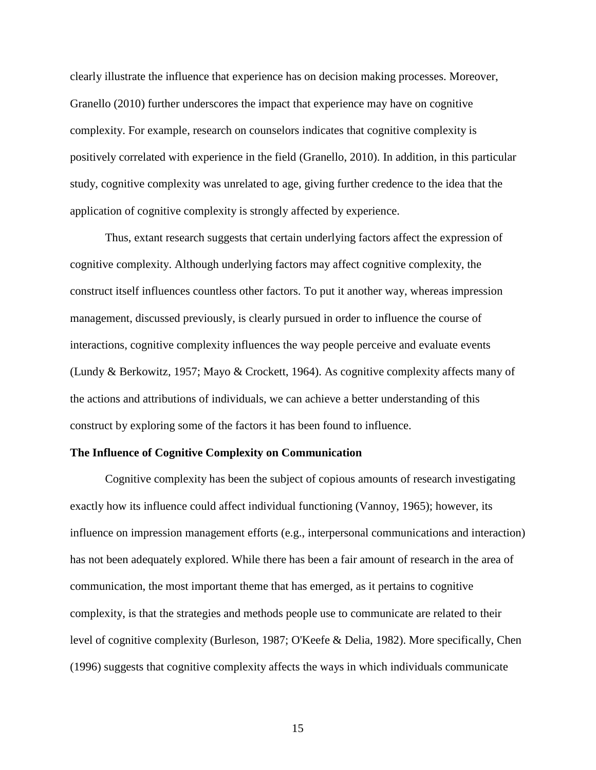clearly illustrate the influence that experience has on decision making processes. Moreover, Granello (2010) further underscores the impact that experience may have on cognitive complexity. For example, research on counselors indicates that cognitive complexity is positively correlated with experience in the field (Granello, 2010). In addition, in this particular study, cognitive complexity was unrelated to age, giving further credence to the idea that the application of cognitive complexity is strongly affected by experience.

Thus, extant research suggests that certain underlying factors affect the expression of cognitive complexity. Although underlying factors may affect cognitive complexity, the construct itself influences countless other factors. To put it another way, whereas impression management, discussed previously, is clearly pursued in order to influence the course of interactions, cognitive complexity influences the way people perceive and evaluate events (Lundy & Berkowitz, 1957; Mayo & Crockett, 1964). As cognitive complexity affects many of the actions and attributions of individuals, we can achieve a better understanding of this construct by exploring some of the factors it has been found to influence.

#### **The Influence of Cognitive Complexity on Communication**

Cognitive complexity has been the subject of copious amounts of research investigating exactly how its influence could affect individual functioning (Vannoy, 1965); however, its influence on impression management efforts (e.g., interpersonal communications and interaction) has not been adequately explored. While there has been a fair amount of research in the area of communication, the most important theme that has emerged, as it pertains to cognitive complexity, is that the strategies and methods people use to communicate are related to their level of cognitive complexity (Burleson, 1987; O'Keefe & Delia, 1982). More specifically, Chen (1996) suggests that cognitive complexity affects the ways in which individuals communicate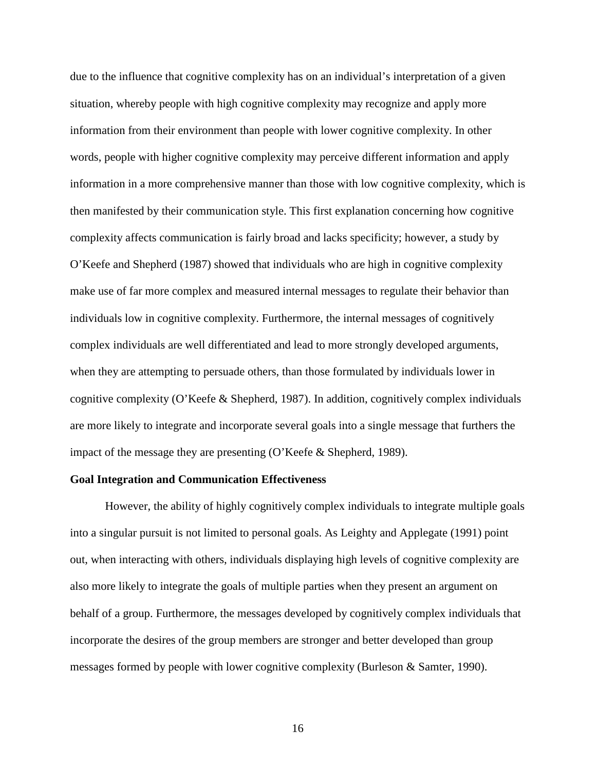due to the influence that cognitive complexity has on an individual's interpretation of a given situation, whereby people with high cognitive complexity may recognize and apply more information from their environment than people with lower cognitive complexity. In other words, people with higher cognitive complexity may perceive different information and apply information in a more comprehensive manner than those with low cognitive complexity, which is then manifested by their communication style. This first explanation concerning how cognitive complexity affects communication is fairly broad and lacks specificity; however, a study by O'Keefe and Shepherd (1987) showed that individuals who are high in cognitive complexity make use of far more complex and measured internal messages to regulate their behavior than individuals low in cognitive complexity. Furthermore, the internal messages of cognitively complex individuals are well differentiated and lead to more strongly developed arguments, when they are attempting to persuade others, than those formulated by individuals lower in cognitive complexity (O'Keefe & Shepherd, 1987). In addition, cognitively complex individuals are more likely to integrate and incorporate several goals into a single message that furthers the impact of the message they are presenting (O'Keefe & Shepherd, 1989).

### **Goal Integration and Communication Effectiveness**

However, the ability of highly cognitively complex individuals to integrate multiple goals into a singular pursuit is not limited to personal goals. As Leighty and Applegate (1991) point out, when interacting with others, individuals displaying high levels of cognitive complexity are also more likely to integrate the goals of multiple parties when they present an argument on behalf of a group. Furthermore, the messages developed by cognitively complex individuals that incorporate the desires of the group members are stronger and better developed than group messages formed by people with lower cognitive complexity (Burleson & Samter, 1990).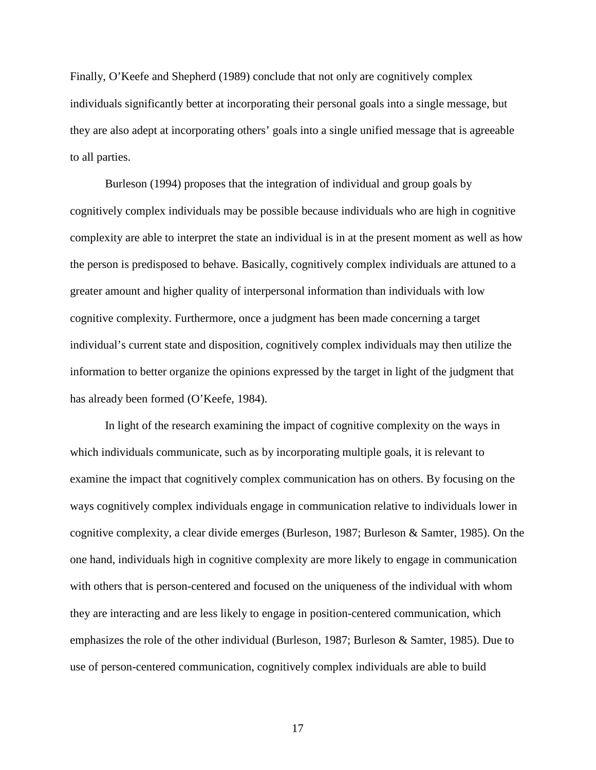Finally, O'Keefe and Shepherd (1989) conclude that not only are cognitively complex individuals significantly better at incorporating their personal goals into a single message, but they are also adept at incorporating others' goals into a single unified message that is agreeable to all parties.

Burleson (1994) proposes that the integration of individual and group goals by cognitively complex individuals may be possible because individuals who are high in cognitive complexity are able to interpret the state an individual is in at the present moment as well as how the person is predisposed to behave. Basically, cognitively complex individuals are attuned to a greater amount and higher quality of interpersonal information than individuals with low cognitive complexity. Furthermore, once a judgment has been made concerning a target individual's current state and disposition, cognitively complex individuals may then utilize the information to better organize the opinions expressed by the target in light of the judgment that has already been formed (O'Keefe, 1984).

In light of the research examining the impact of cognitive complexity on the ways in which individuals communicate, such as by incorporating multiple goals, it is relevant to examine the impact that cognitively complex communication has on others. By focusing on the ways cognitively complex individuals engage in communication relative to individuals lower in cognitive complexity, a clear divide emerges (Burleson, 1987; Burleson & Samter, 1985). On the one hand, individuals high in cognitive complexity are more likely to engage in communication with others that is person-centered and focused on the uniqueness of the individual with whom they are interacting and are less likely to engage in position-centered communication, which emphasizes the role of the other individual (Burleson, 1987; Burleson & Samter, 1985). Due to use of person-centered communication, cognitively complex individuals are able to build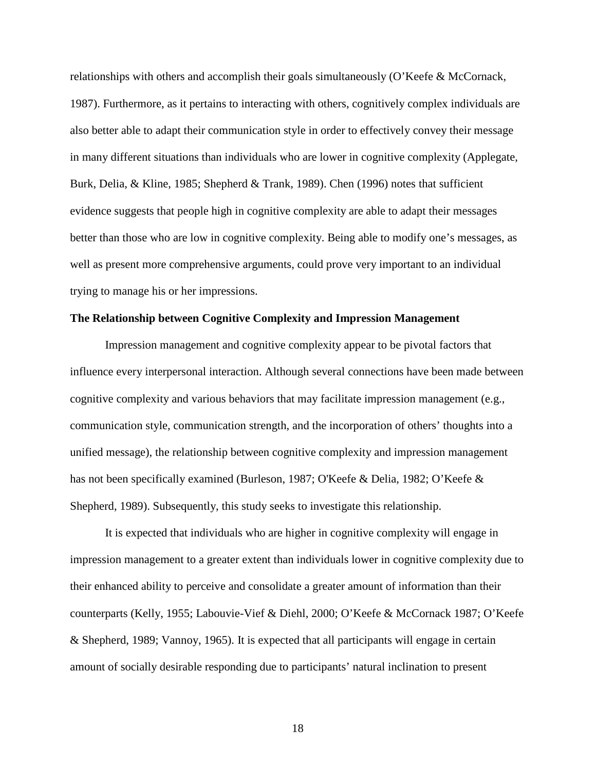relationships with others and accomplish their goals simultaneously (O'Keefe & McCornack, 1987). Furthermore, as it pertains to interacting with others, cognitively complex individuals are also better able to adapt their communication style in order to effectively convey their message in many different situations than individuals who are lower in cognitive complexity (Applegate, Burk, Delia, & Kline, 1985; Shepherd & Trank, 1989). Chen (1996) notes that sufficient evidence suggests that people high in cognitive complexity are able to adapt their messages better than those who are low in cognitive complexity. Being able to modify one's messages, as well as present more comprehensive arguments, could prove very important to an individual trying to manage his or her impressions.

# **The Relationship between Cognitive Complexity and Impression Management**

Impression management and cognitive complexity appear to be pivotal factors that influence every interpersonal interaction. Although several connections have been made between cognitive complexity and various behaviors that may facilitate impression management (e.g., communication style, communication strength, and the incorporation of others' thoughts into a unified message), the relationship between cognitive complexity and impression management has not been specifically examined (Burleson, 1987; O'Keefe & Delia, 1982; O'Keefe & Shepherd, 1989). Subsequently, this study seeks to investigate this relationship.

 It is expected that individuals who are higher in cognitive complexity will engage in impression management to a greater extent than individuals lower in cognitive complexity due to their enhanced ability to perceive and consolidate a greater amount of information than their counterparts (Kelly, 1955; Labouvie-Vief & Diehl, 2000; O'Keefe & McCornack 1987; O'Keefe & Shepherd, 1989; Vannoy, 1965). It is expected that all participants will engage in certain amount of socially desirable responding due to participants' natural inclination to present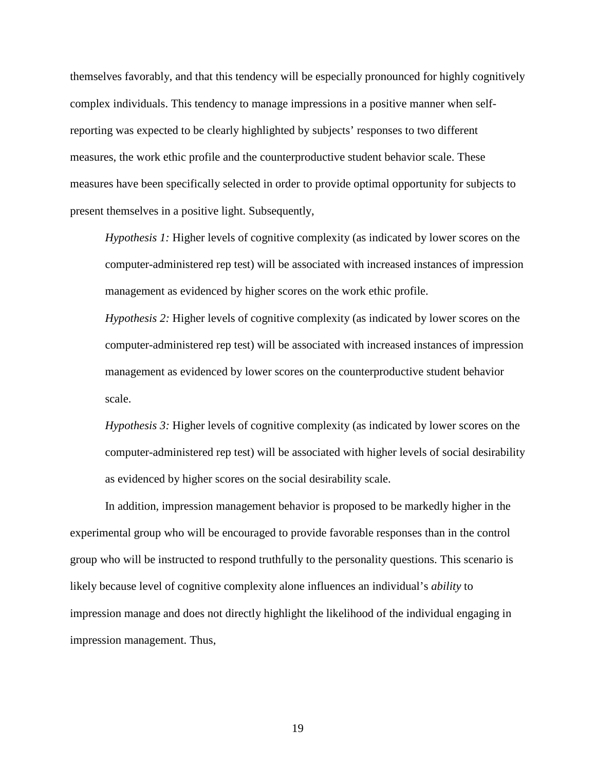themselves favorably, and that this tendency will be especially pronounced for highly cognitively complex individuals. This tendency to manage impressions in a positive manner when selfreporting was expected to be clearly highlighted by subjects' responses to two different measures, the work ethic profile and the counterproductive student behavior scale. These measures have been specifically selected in order to provide optimal opportunity for subjects to present themselves in a positive light. Subsequently,

*Hypothesis 1:* Higher levels of cognitive complexity (as indicated by lower scores on the computer-administered rep test) will be associated with increased instances of impression management as evidenced by higher scores on the work ethic profile.

*Hypothesis 2:* Higher levels of cognitive complexity (as indicated by lower scores on the computer-administered rep test) will be associated with increased instances of impression management as evidenced by lower scores on the counterproductive student behavior scale.

*Hypothesis 3:* Higher levels of cognitive complexity (as indicated by lower scores on the computer-administered rep test) will be associated with higher levels of social desirability as evidenced by higher scores on the social desirability scale.

In addition, impression management behavior is proposed to be markedly higher in the experimental group who will be encouraged to provide favorable responses than in the control group who will be instructed to respond truthfully to the personality questions. This scenario is likely because level of cognitive complexity alone influences an individual's *ability* to impression manage and does not directly highlight the likelihood of the individual engaging in impression management. Thus,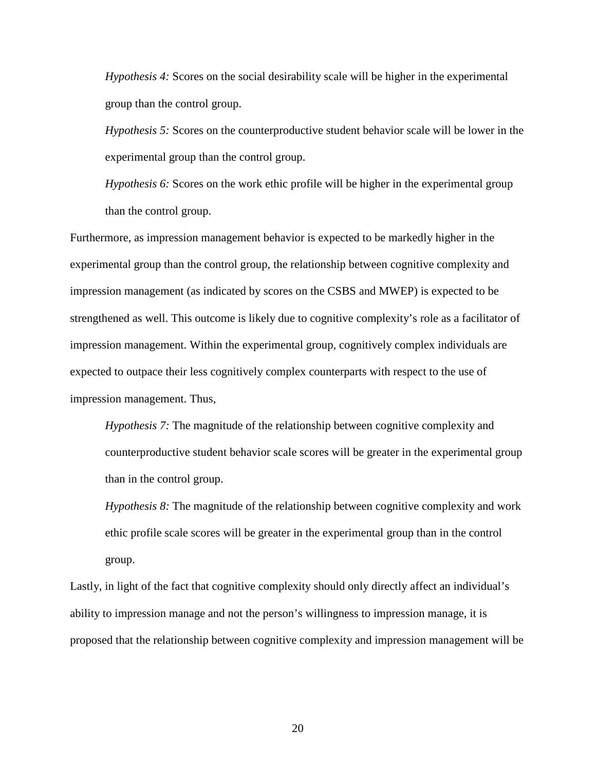*Hypothesis 4:* Scores on the social desirability scale will be higher in the experimental group than the control group.

*Hypothesis 5:* Scores on the counterproductive student behavior scale will be lower in the experimental group than the control group.

*Hypothesis 6:* Scores on the work ethic profile will be higher in the experimental group than the control group.

Furthermore, as impression management behavior is expected to be markedly higher in the experimental group than the control group, the relationship between cognitive complexity and impression management (as indicated by scores on the CSBS and MWEP) is expected to be strengthened as well. This outcome is likely due to cognitive complexity's role as a facilitator of impression management. Within the experimental group, cognitively complex individuals are expected to outpace their less cognitively complex counterparts with respect to the use of impression management. Thus,

*Hypothesis 7:* The magnitude of the relationship between cognitive complexity and counterproductive student behavior scale scores will be greater in the experimental group than in the control group.

*Hypothesis 8:* The magnitude of the relationship between cognitive complexity and work ethic profile scale scores will be greater in the experimental group than in the control group.

Lastly, in light of the fact that cognitive complexity should only directly affect an individual's ability to impression manage and not the person's willingness to impression manage, it is proposed that the relationship between cognitive complexity and impression management will be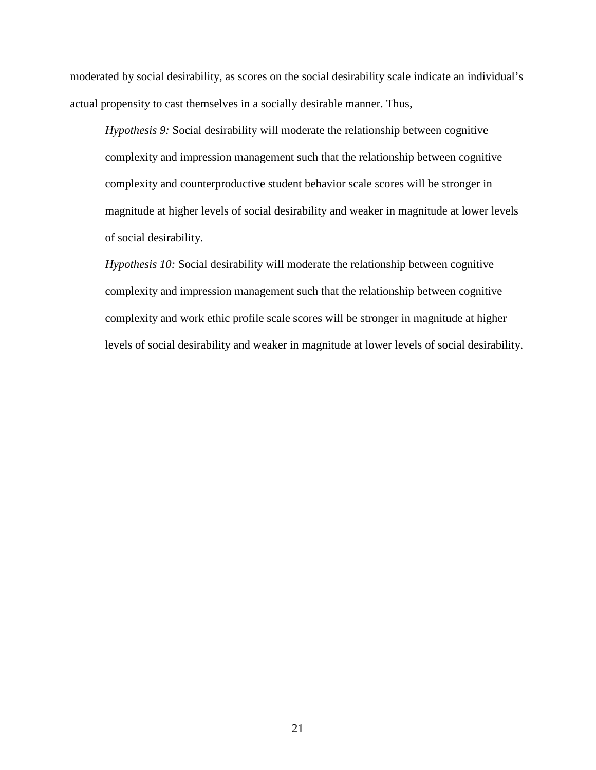moderated by social desirability, as scores on the social desirability scale indicate an individual's actual propensity to cast themselves in a socially desirable manner. Thus,

*Hypothesis 9:* Social desirability will moderate the relationship between cognitive complexity and impression management such that the relationship between cognitive complexity and counterproductive student behavior scale scores will be stronger in magnitude at higher levels of social desirability and weaker in magnitude at lower levels of social desirability.

*Hypothesis 10:* Social desirability will moderate the relationship between cognitive complexity and impression management such that the relationship between cognitive complexity and work ethic profile scale scores will be stronger in magnitude at higher levels of social desirability and weaker in magnitude at lower levels of social desirability.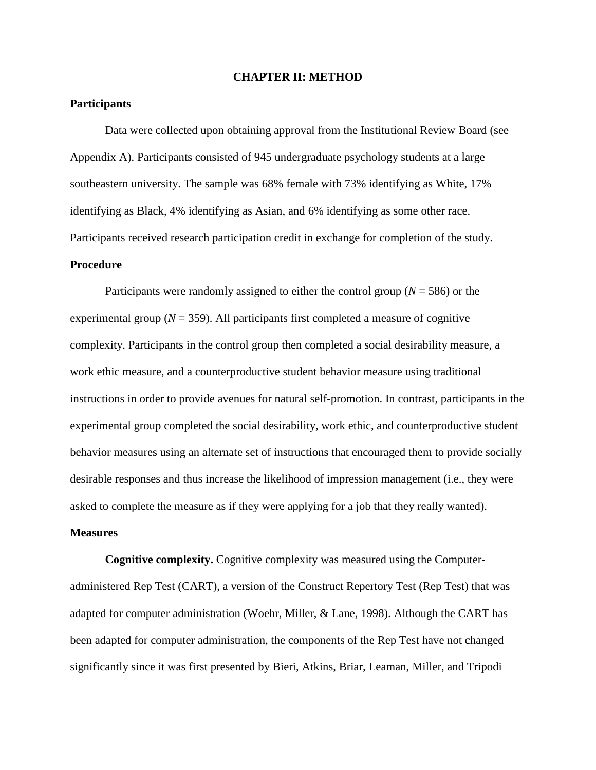#### **CHAPTER II: METHOD**

# **Participants**

 Data were collected upon obtaining approval from the Institutional Review Board (see Appendix A). Participants consisted of 945 undergraduate psychology students at a large southeastern university. The sample was 68% female with 73% identifying as White, 17% identifying as Black, 4% identifying as Asian, and 6% identifying as some other race. Participants received research participation credit in exchange for completion of the study.

# **Procedure**

 Participants were randomly assigned to either the control group (*N* = 586) or the experimental group ( $N = 359$ ). All participants first completed a measure of cognitive complexity. Participants in the control group then completed a social desirability measure, a work ethic measure, and a counterproductive student behavior measure using traditional instructions in order to provide avenues for natural self-promotion. In contrast, participants in the experimental group completed the social desirability, work ethic, and counterproductive student behavior measures using an alternate set of instructions that encouraged them to provide socially desirable responses and thus increase the likelihood of impression management (i.e., they were asked to complete the measure as if they were applying for a job that they really wanted).

# **Measures**

 **Cognitive complexity.** Cognitive complexity was measured using the Computeradministered Rep Test (CART), a version of the Construct Repertory Test (Rep Test) that was adapted for computer administration (Woehr, Miller, & Lane, 1998). Although the CART has been adapted for computer administration, the components of the Rep Test have not changed significantly since it was first presented by Bieri, Atkins, Briar, Leaman, Miller, and Tripodi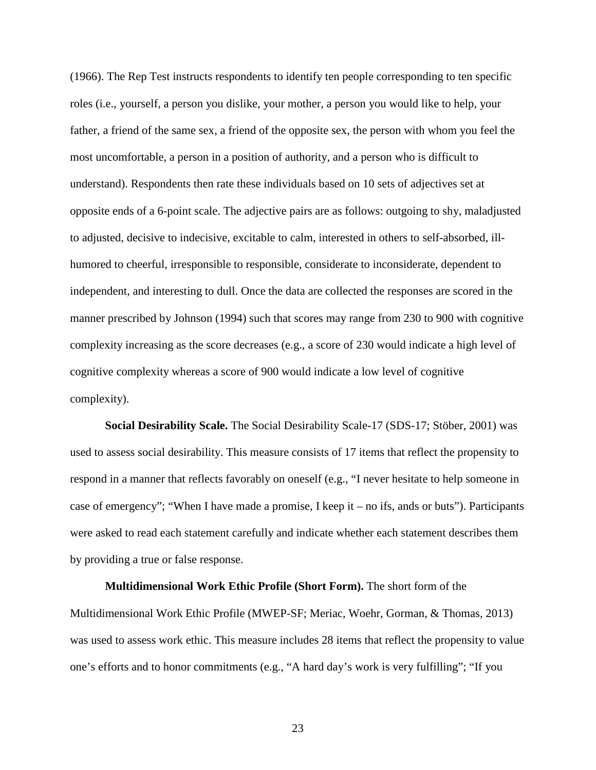(1966). The Rep Test instructs respondents to identify ten people corresponding to ten specific roles (i.e., yourself, a person you dislike, your mother, a person you would like to help, your father, a friend of the same sex, a friend of the opposite sex, the person with whom you feel the most uncomfortable, a person in a position of authority, and a person who is difficult to understand). Respondents then rate these individuals based on 10 sets of adjectives set at opposite ends of a 6-point scale. The adjective pairs are as follows: outgoing to shy, maladjusted to adjusted, decisive to indecisive, excitable to calm, interested in others to self-absorbed, illhumored to cheerful, irresponsible to responsible, considerate to inconsiderate, dependent to independent, and interesting to dull. Once the data are collected the responses are scored in the manner prescribed by Johnson (1994) such that scores may range from 230 to 900 with cognitive complexity increasing as the score decreases (e.g., a score of 230 would indicate a high level of cognitive complexity whereas a score of 900 would indicate a low level of cognitive complexity).

**Social Desirability Scale.** The Social Desirability Scale-17 (SDS-17; Stöber, 2001) was used to assess social desirability. This measure consists of 17 items that reflect the propensity to respond in a manner that reflects favorably on oneself (e.g., "I never hesitate to help someone in case of emergency"; "When I have made a promise, I keep it – no ifs, ands or buts"). Participants were asked to read each statement carefully and indicate whether each statement describes them by providing a true or false response.

**Multidimensional Work Ethic Profile (Short Form).** The short form of the Multidimensional Work Ethic Profile (MWEP-SF; Meriac, Woehr, Gorman, & Thomas, 2013) was used to assess work ethic. This measure includes 28 items that reflect the propensity to value one's efforts and to honor commitments (e.g., "A hard day's work is very fulfilling"; "If you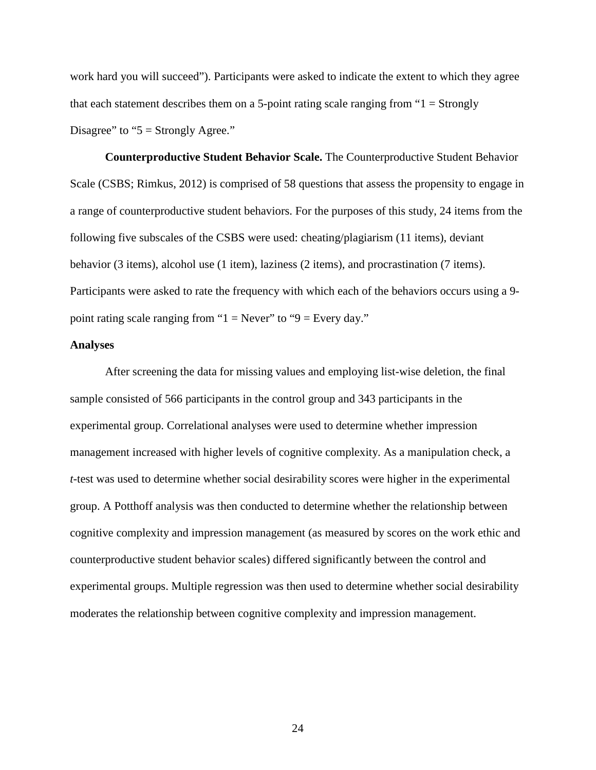work hard you will succeed"). Participants were asked to indicate the extent to which they agree that each statement describes them on a 5-point rating scale ranging from  $1 =$  Strongly Disagree" to " $5 =$  Strongly Agree."

**Counterproductive Student Behavior Scale.** The Counterproductive Student Behavior Scale (CSBS; Rimkus, 2012) is comprised of 58 questions that assess the propensity to engage in a range of counterproductive student behaviors. For the purposes of this study, 24 items from the following five subscales of the CSBS were used: cheating/plagiarism (11 items), deviant behavior (3 items), alcohol use (1 item), laziness (2 items), and procrastination (7 items). Participants were asked to rate the frequency with which each of the behaviors occurs using a 9 point rating scale ranging from " $1 =$  Never" to " $9 =$  Every day."

#### **Analyses**

After screening the data for missing values and employing list-wise deletion, the final sample consisted of 566 participants in the control group and 343 participants in the experimental group. Correlational analyses were used to determine whether impression management increased with higher levels of cognitive complexity. As a manipulation check, a *t*-test was used to determine whether social desirability scores were higher in the experimental group. A Potthoff analysis was then conducted to determine whether the relationship between cognitive complexity and impression management (as measured by scores on the work ethic and counterproductive student behavior scales) differed significantly between the control and experimental groups. Multiple regression was then used to determine whether social desirability moderates the relationship between cognitive complexity and impression management.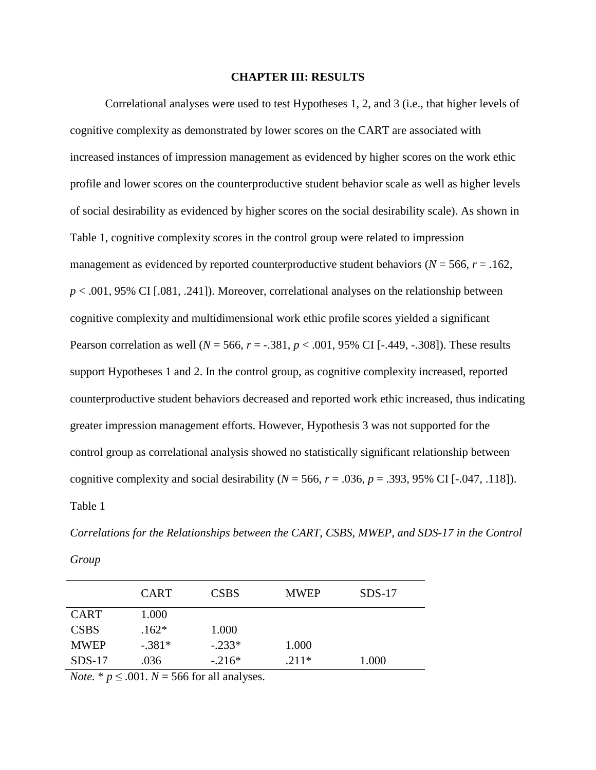# **CHAPTER III: RESULTS**

Correlational analyses were used to test Hypotheses 1, 2, and 3 (i.e., that higher levels of cognitive complexity as demonstrated by lower scores on the CART are associated with increased instances of impression management as evidenced by higher scores on the work ethic profile and lower scores on the counterproductive student behavior scale as well as higher levels of social desirability as evidenced by higher scores on the social desirability scale). As shown in Table 1, cognitive complexity scores in the control group were related to impression management as evidenced by reported counterproductive student behaviors ( $N = 566$ ,  $r = .162$ ,  $p < .001$ , 95% CI [.081, .241]). Moreover, correlational analyses on the relationship between cognitive complexity and multidimensional work ethic profile scores yielded a significant Pearson correlation as well (*N* = 566, *r* = -.381, *p* < .001, 95% CI [-.449, -.308]). These results support Hypotheses 1 and 2. In the control group, as cognitive complexity increased, reported counterproductive student behaviors decreased and reported work ethic increased, thus indicating greater impression management efforts. However, Hypothesis 3 was not supported for the control group as correlational analysis showed no statistically significant relationship between cognitive complexity and social desirability ( $N = 566$ ,  $r = .036$ ,  $p = .393$ , 95% CI [-.047, .118]). Table 1

| × |
|---|
|---|

|             | <b>CART</b> | <b>CSBS</b> | <b>MWEP</b> | $SDS-17$ |
|-------------|-------------|-------------|-------------|----------|
| <b>CART</b> | 1.000       |             |             |          |
| <b>CSBS</b> | $.162*$     | 1.000       |             |          |
| <b>MWEP</b> | $-.381*$    | $-.233*$    | 1.000       |          |
| $SDS-17$    | .036        | $-.216*$    | $.211*$     | 1.000    |

*Note.*  $* p \leq .001$ .  $N = 566$  for all analyses.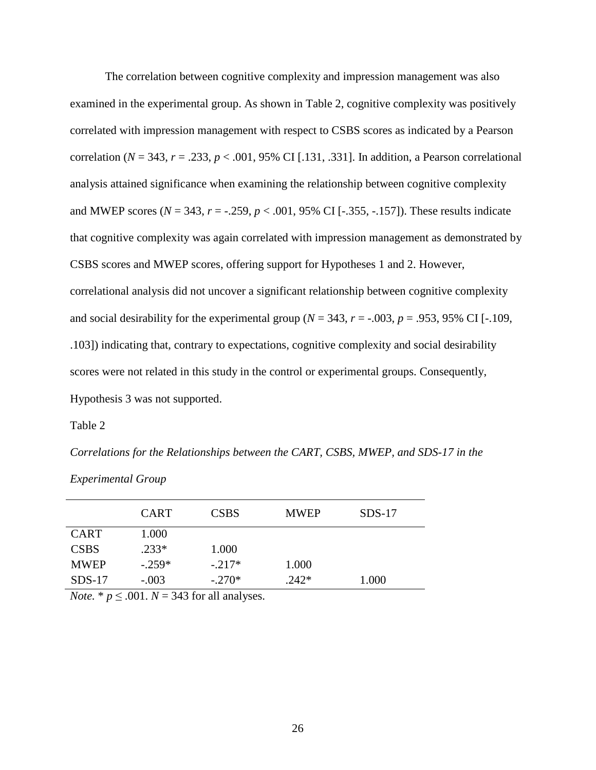The correlation between cognitive complexity and impression management was also examined in the experimental group. As shown in Table 2, cognitive complexity was positively correlated with impression management with respect to CSBS scores as indicated by a Pearson correlation ( $N = 343$ ,  $r = .233$ ,  $p < .001$ , 95% CI [.131, .331]. In addition, a Pearson correlational analysis attained significance when examining the relationship between cognitive complexity and MWEP scores ( $N = 343$ ,  $r = -.259$ ,  $p < .001$ , 95% CI [-.355, -.157]). These results indicate that cognitive complexity was again correlated with impression management as demonstrated by CSBS scores and MWEP scores, offering support for Hypotheses 1 and 2. However, correlational analysis did not uncover a significant relationship between cognitive complexity and social desirability for the experimental group ( $N = 343$ ,  $r = -.003$ ,  $p = .953$ , 95% CI [-.109, .103]) indicating that, contrary to expectations, cognitive complexity and social desirability scores were not related in this study in the control or experimental groups. Consequently, Hypothesis 3 was not supported.

Table 2

*Correlations for the Relationships between the CART, CSBS, MWEP, and SDS-17 in the* 

*Experimental Group*

|             | <b>CART</b>                    | <b>CSBS</b> | <b>MWEP</b> | $SDS-17$ |  |
|-------------|--------------------------------|-------------|-------------|----------|--|
| <b>CART</b> | 1.000                          |             |             |          |  |
| <b>CSBS</b> | $.233*$                        | 1.000       |             |          |  |
| <b>MWEP</b> | $-.259*$                       | $-.217*$    | 1.000       |          |  |
| $SDS-17$    | $-.003$                        | $-.270*$    | $.242*$     | 1.000    |  |
| $-$         | $\sim$ 0.04 $\sim$ 0.10 $\sim$ |             |             |          |  |

*Note.* \*  $p \le 0.001$ .  $N = 343$  for all analyses.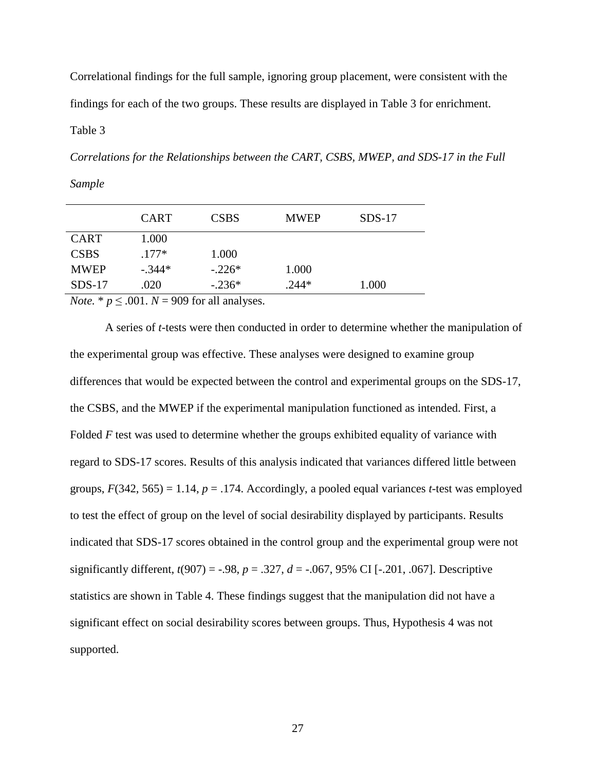Correlational findings for the full sample, ignoring group placement, were consistent with the findings for each of the two groups. These results are displayed in Table 3 for enrichment.

Table 3

*Sample*

*Correlations for the Relationships between the CART, CSBS, MWEP, and SDS-17 in the Full* 

| <b>CART</b> | <b>CSBS</b> | <b>MWEP</b> | $SDS-17$ |
|-------------|-------------|-------------|----------|
| 1.000       |             |             |          |
| $.177*$     | 1.000       |             |          |
| $-.344*$    | $-.226*$    | 1.000       |          |
| .020        | $-.236*$    | $.244*$     | 1.000    |
|             |             |             |          |

*Note.* \*  $p \leq .001$ .  $N = 909$  for all analyses.

A series of *t*-tests were then conducted in order to determine whether the manipulation of the experimental group was effective. These analyses were designed to examine group differences that would be expected between the control and experimental groups on the SDS-17, the CSBS, and the MWEP if the experimental manipulation functioned as intended. First, a Folded *F* test was used to determine whether the groups exhibited equality of variance with regard to SDS-17 scores. Results of this analysis indicated that variances differed little between groups,  $F(342, 565) = 1.14$ ,  $p = .174$ . Accordingly, a pooled equal variances *t*-test was employed to test the effect of group on the level of social desirability displayed by participants. Results indicated that SDS-17 scores obtained in the control group and the experimental group were not significantly different,  $t(907) = -.98$ ,  $p = .327$ ,  $d = -.067$ , 95% CI [-.201, .067]. Descriptive statistics are shown in Table 4. These findings suggest that the manipulation did not have a significant effect on social desirability scores between groups. Thus, Hypothesis 4 was not supported.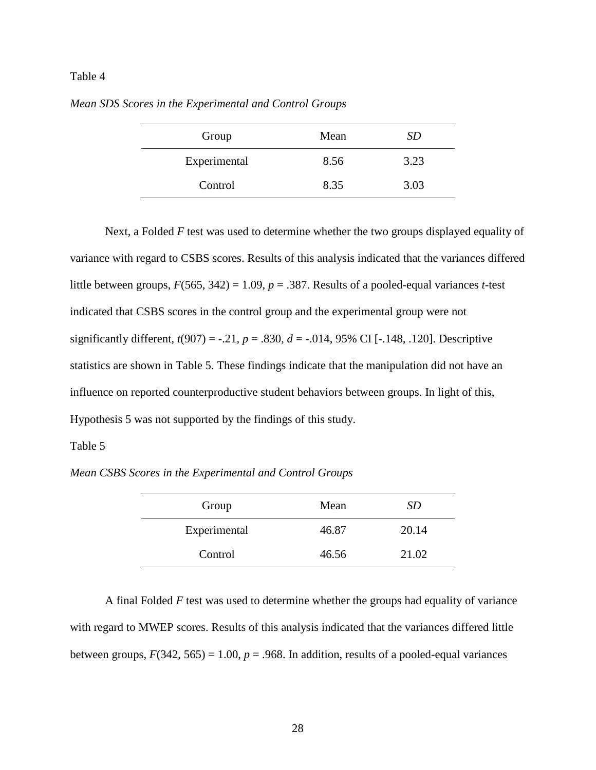# Table 4

| Group        | Mean | SD   |
|--------------|------|------|
| Experimental | 8.56 | 3.23 |
| Control      | 8.35 | 3.03 |

*Mean SDS Scores in the Experimental and Control Groups* 

Next, a Folded *F* test was used to determine whether the two groups displayed equality of variance with regard to CSBS scores. Results of this analysis indicated that the variances differed little between groups, *F*(565, 342) = 1.09, *p* = .387. Results of a pooled-equal variances *t-*test indicated that CSBS scores in the control group and the experimental group were not significantly different,  $t(907) = -.21$ ,  $p = .830$ ,  $d = -.014$ , 95% CI [-.148, .120]. Descriptive statistics are shown in Table 5. These findings indicate that the manipulation did not have an influence on reported counterproductive student behaviors between groups. In light of this, Hypothesis 5 was not supported by the findings of this study.

## Table 5

*Mean CSBS Scores in the Experimental and Control Groups* 

| Group        | Mean  | SD    |
|--------------|-------|-------|
| Experimental | 46.87 | 20.14 |
| Control      | 46.56 | 21.02 |

A final Folded *F* test was used to determine whether the groups had equality of variance with regard to MWEP scores. Results of this analysis indicated that the variances differed little between groups,  $F(342, 565) = 1.00$ ,  $p = .968$ . In addition, results of a pooled-equal variances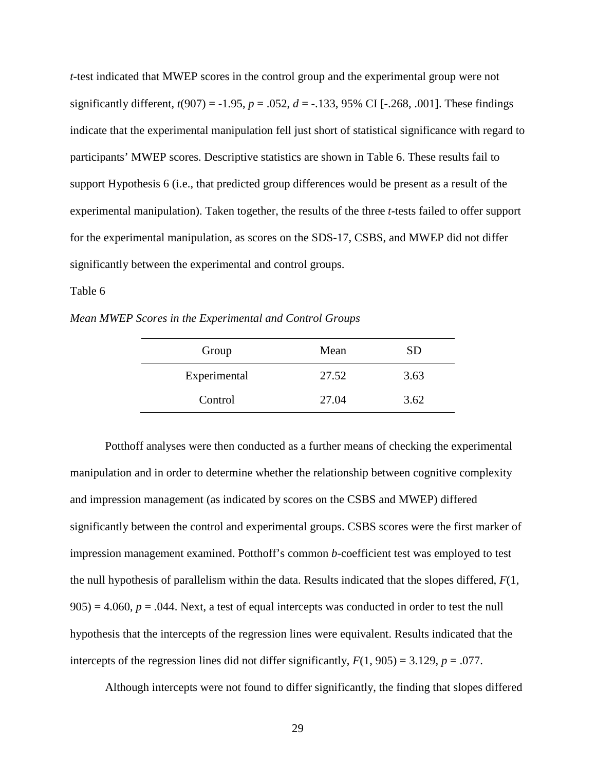*t-*test indicated that MWEP scores in the control group and the experimental group were not significantly different,  $t(907) = -1.95$ ,  $p = .052$ ,  $d = -.133$ , 95% CI [ $-.268, .001$ ]. These findings indicate that the experimental manipulation fell just short of statistical significance with regard to participants' MWEP scores. Descriptive statistics are shown in Table 6. These results fail to support Hypothesis 6 (i.e., that predicted group differences would be present as a result of the experimental manipulation). Taken together, the results of the three *t*-tests failed to offer support for the experimental manipulation, as scores on the SDS-17, CSBS, and MWEP did not differ significantly between the experimental and control groups.

# Table 6

*Mean MWEP Scores in the Experimental and Control Groups* 

| Group        | Mean  | SD   |
|--------------|-------|------|
| Experimental | 27.52 | 3.63 |
| Control      | 27.04 | 3.62 |

Potthoff analyses were then conducted as a further means of checking the experimental manipulation and in order to determine whether the relationship between cognitive complexity and impression management (as indicated by scores on the CSBS and MWEP) differed significantly between the control and experimental groups. CSBS scores were the first marker of impression management examined. Potthoff's common *b*-coefficient test was employed to test the null hypothesis of parallelism within the data. Results indicated that the slopes differed, *F*(1,  $905$ ) = 4.060,  $p = 0.044$ . Next, a test of equal intercepts was conducted in order to test the null hypothesis that the intercepts of the regression lines were equivalent. Results indicated that the intercepts of the regression lines did not differ significantly,  $F(1, 905) = 3.129$ ,  $p = .077$ .

Although intercepts were not found to differ significantly, the finding that slopes differed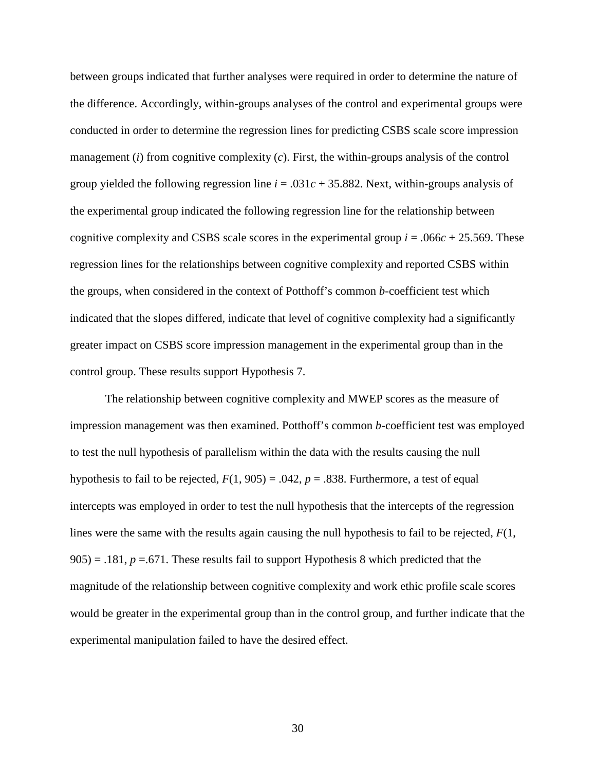between groups indicated that further analyses were required in order to determine the nature of the difference. Accordingly, within-groups analyses of the control and experimental groups were conducted in order to determine the regression lines for predicting CSBS scale score impression management (*i*) from cognitive complexity (*c*). First, the within-groups analysis of the control group yielded the following regression line  $i = .031c + 35.882$ . Next, within-groups analysis of the experimental group indicated the following regression line for the relationship between cognitive complexity and CSBS scale scores in the experimental group  $i = .066c + 25.569$ . These regression lines for the relationships between cognitive complexity and reported CSBS within the groups, when considered in the context of Potthoff's common *b*-coefficient test which indicated that the slopes differed, indicate that level of cognitive complexity had a significantly greater impact on CSBS score impression management in the experimental group than in the control group. These results support Hypothesis 7.

 The relationship between cognitive complexity and MWEP scores as the measure of impression management was then examined. Potthoff's common *b*-coefficient test was employed to test the null hypothesis of parallelism within the data with the results causing the null hypothesis to fail to be rejected,  $F(1, 905) = .042$ ,  $p = .838$ . Furthermore, a test of equal intercepts was employed in order to test the null hypothesis that the intercepts of the regression lines were the same with the results again causing the null hypothesis to fail to be rejected, *F*(1, 905) = .181, *p* =.671. These results fail to support Hypothesis 8 which predicted that the magnitude of the relationship between cognitive complexity and work ethic profile scale scores would be greater in the experimental group than in the control group, and further indicate that the experimental manipulation failed to have the desired effect.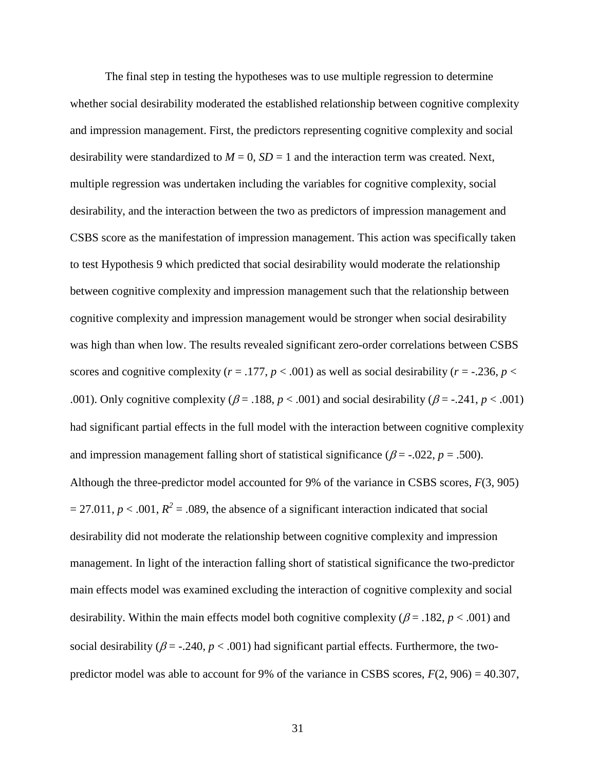The final step in testing the hypotheses was to use multiple regression to determine whether social desirability moderated the established relationship between cognitive complexity and impression management. First, the predictors representing cognitive complexity and social desirability were standardized to  $M = 0$ ,  $SD = 1$  and the interaction term was created. Next, multiple regression was undertaken including the variables for cognitive complexity, social desirability, and the interaction between the two as predictors of impression management and CSBS score as the manifestation of impression management. This action was specifically taken to test Hypothesis 9 which predicted that social desirability would moderate the relationship between cognitive complexity and impression management such that the relationship between cognitive complexity and impression management would be stronger when social desirability was high than when low. The results revealed significant zero-order correlations between CSBS scores and cognitive complexity ( $r = .177$ ,  $p < .001$ ) as well as social desirability ( $r = .236$ ,  $p <$ .001). Only cognitive complexity ( $\beta$  = .188,  $p$  < .001) and social desirability ( $\beta$  = -.241,  $p$  < .001) had significant partial effects in the full model with the interaction between cognitive complexity and impression management falling short of statistical significance ( $\beta$  = -.022, *p* = .500). Although the three-predictor model accounted for 9% of the variance in CSBS scores, *F*(3, 905)  $= 27.011, p < .001, R<sup>2</sup> = .089$ , the absence of a significant interaction indicated that social desirability did not moderate the relationship between cognitive complexity and impression management. In light of the interaction falling short of statistical significance the two-predictor main effects model was examined excluding the interaction of cognitive complexity and social desirability. Within the main effects model both cognitive complexity ( $\beta$  = .182,  $p$  < .001) and social desirability ( $\beta$  = -.240,  $p$  < .001) had significant partial effects. Furthermore, the twopredictor model was able to account for 9% of the variance in CSBS scores,  $F(2, 906) = 40.307$ ,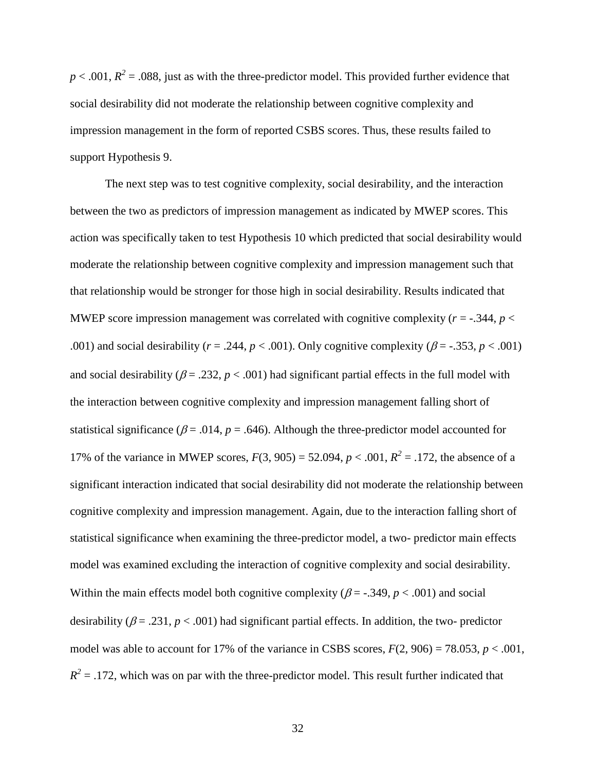$p < .001$ ,  $R<sup>2</sup> = .088$ , just as with the three-predictor model. This provided further evidence that social desirability did not moderate the relationship between cognitive complexity and impression management in the form of reported CSBS scores. Thus, these results failed to support Hypothesis 9.

 The next step was to test cognitive complexity, social desirability, and the interaction between the two as predictors of impression management as indicated by MWEP scores. This action was specifically taken to test Hypothesis 10 which predicted that social desirability would moderate the relationship between cognitive complexity and impression management such that that relationship would be stronger for those high in social desirability. Results indicated that MWEP score impression management was correlated with cognitive complexity  $(r = -0.344, p <$ .001) and social desirability ( $r = .244$ ,  $p < .001$ ). Only cognitive complexity ( $\beta = -.353$ ,  $p < .001$ ) and social desirability ( $\beta$  = .232,  $p$  < .001) had significant partial effects in the full model with the interaction between cognitive complexity and impression management falling short of statistical significance ( $\beta$  = .014,  $p$  = .646). Although the three-predictor model accounted for 17% of the variance in MWEP scores,  $F(3, 905) = 52.094$ ,  $p < .001$ ,  $R^2 = .172$ , the absence of a significant interaction indicated that social desirability did not moderate the relationship between cognitive complexity and impression management. Again, due to the interaction falling short of statistical significance when examining the three-predictor model, a two- predictor main effects model was examined excluding the interaction of cognitive complexity and social desirability. Within the main effects model both cognitive complexity ( $\beta$  = -.349,  $p$  < .001) and social desirability ( $\beta$  = .231,  $p$  < .001) had significant partial effects. In addition, the two- predictor model was able to account for 17% of the variance in CSBS scores,  $F(2, 906) = 78.053$ ,  $p < .001$ ,  $R^2$  = .172, which was on par with the three-predictor model. This result further indicated that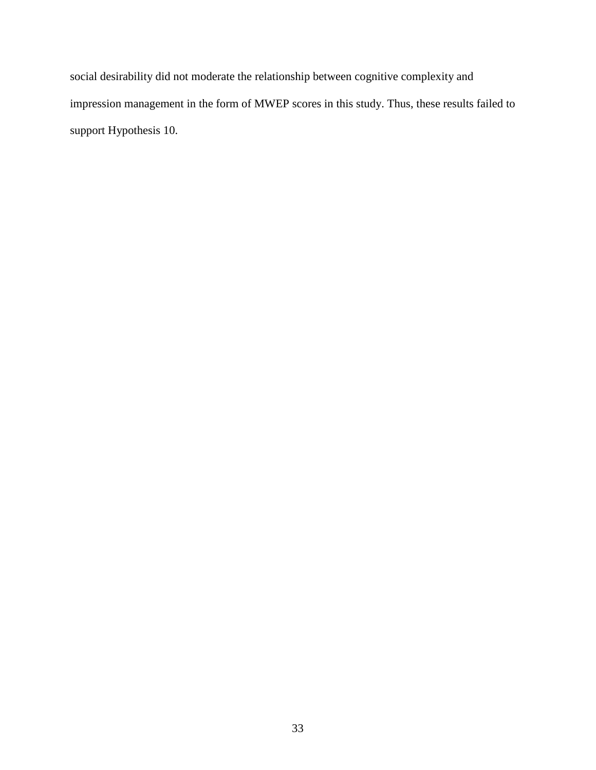social desirability did not moderate the relationship between cognitive complexity and impression management in the form of MWEP scores in this study. Thus, these results failed to support Hypothesis 10.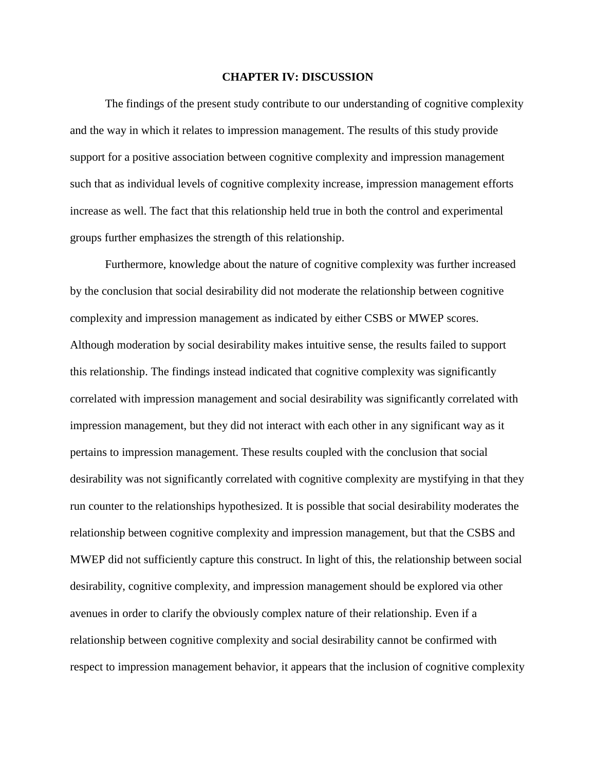## **CHAPTER IV: DISCUSSION**

The findings of the present study contribute to our understanding of cognitive complexity and the way in which it relates to impression management. The results of this study provide support for a positive association between cognitive complexity and impression management such that as individual levels of cognitive complexity increase, impression management efforts increase as well. The fact that this relationship held true in both the control and experimental groups further emphasizes the strength of this relationship.

Furthermore, knowledge about the nature of cognitive complexity was further increased by the conclusion that social desirability did not moderate the relationship between cognitive complexity and impression management as indicated by either CSBS or MWEP scores. Although moderation by social desirability makes intuitive sense, the results failed to support this relationship. The findings instead indicated that cognitive complexity was significantly correlated with impression management and social desirability was significantly correlated with impression management, but they did not interact with each other in any significant way as it pertains to impression management. These results coupled with the conclusion that social desirability was not significantly correlated with cognitive complexity are mystifying in that they run counter to the relationships hypothesized. It is possible that social desirability moderates the relationship between cognitive complexity and impression management, but that the CSBS and MWEP did not sufficiently capture this construct. In light of this, the relationship between social desirability, cognitive complexity, and impression management should be explored via other avenues in order to clarify the obviously complex nature of their relationship. Even if a relationship between cognitive complexity and social desirability cannot be confirmed with respect to impression management behavior, it appears that the inclusion of cognitive complexity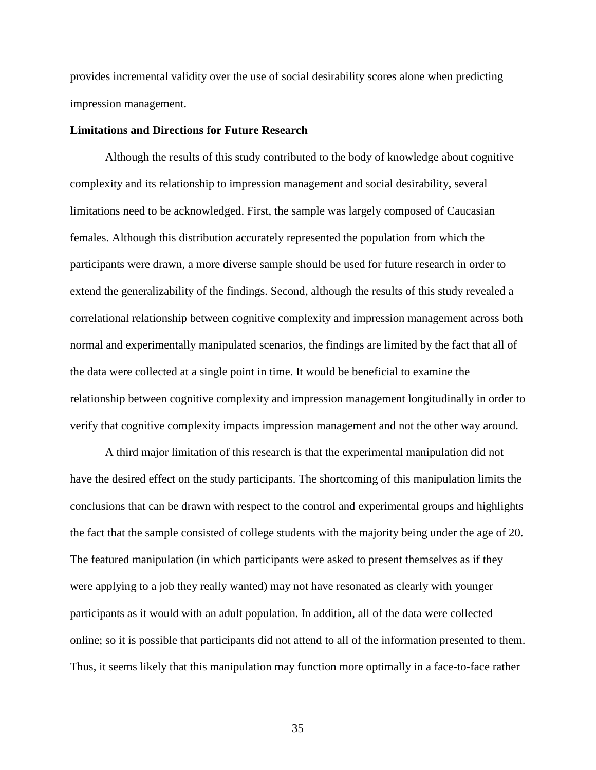provides incremental validity over the use of social desirability scores alone when predicting impression management.

#### **Limitations and Directions for Future Research**

Although the results of this study contributed to the body of knowledge about cognitive complexity and its relationship to impression management and social desirability, several limitations need to be acknowledged. First, the sample was largely composed of Caucasian females. Although this distribution accurately represented the population from which the participants were drawn, a more diverse sample should be used for future research in order to extend the generalizability of the findings. Second, although the results of this study revealed a correlational relationship between cognitive complexity and impression management across both normal and experimentally manipulated scenarios, the findings are limited by the fact that all of the data were collected at a single point in time. It would be beneficial to examine the relationship between cognitive complexity and impression management longitudinally in order to verify that cognitive complexity impacts impression management and not the other way around.

A third major limitation of this research is that the experimental manipulation did not have the desired effect on the study participants. The shortcoming of this manipulation limits the conclusions that can be drawn with respect to the control and experimental groups and highlights the fact that the sample consisted of college students with the majority being under the age of 20. The featured manipulation (in which participants were asked to present themselves as if they were applying to a job they really wanted) may not have resonated as clearly with younger participants as it would with an adult population. In addition, all of the data were collected online; so it is possible that participants did not attend to all of the information presented to them. Thus, it seems likely that this manipulation may function more optimally in a face-to-face rather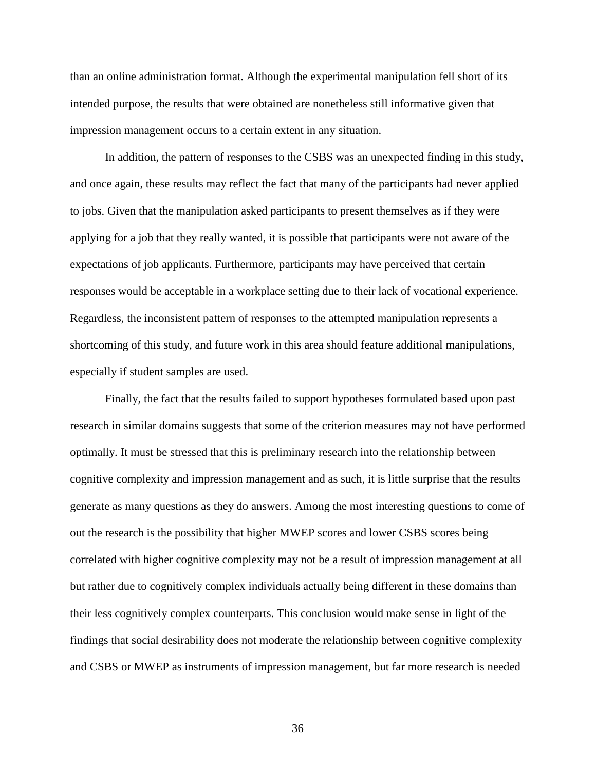than an online administration format. Although the experimental manipulation fell short of its intended purpose, the results that were obtained are nonetheless still informative given that impression management occurs to a certain extent in any situation.

In addition, the pattern of responses to the CSBS was an unexpected finding in this study, and once again, these results may reflect the fact that many of the participants had never applied to jobs. Given that the manipulation asked participants to present themselves as if they were applying for a job that they really wanted, it is possible that participants were not aware of the expectations of job applicants. Furthermore, participants may have perceived that certain responses would be acceptable in a workplace setting due to their lack of vocational experience. Regardless, the inconsistent pattern of responses to the attempted manipulation represents a shortcoming of this study, and future work in this area should feature additional manipulations, especially if student samples are used.

Finally, the fact that the results failed to support hypotheses formulated based upon past research in similar domains suggests that some of the criterion measures may not have performed optimally. It must be stressed that this is preliminary research into the relationship between cognitive complexity and impression management and as such, it is little surprise that the results generate as many questions as they do answers. Among the most interesting questions to come of out the research is the possibility that higher MWEP scores and lower CSBS scores being correlated with higher cognitive complexity may not be a result of impression management at all but rather due to cognitively complex individuals actually being different in these domains than their less cognitively complex counterparts. This conclusion would make sense in light of the findings that social desirability does not moderate the relationship between cognitive complexity and CSBS or MWEP as instruments of impression management, but far more research is needed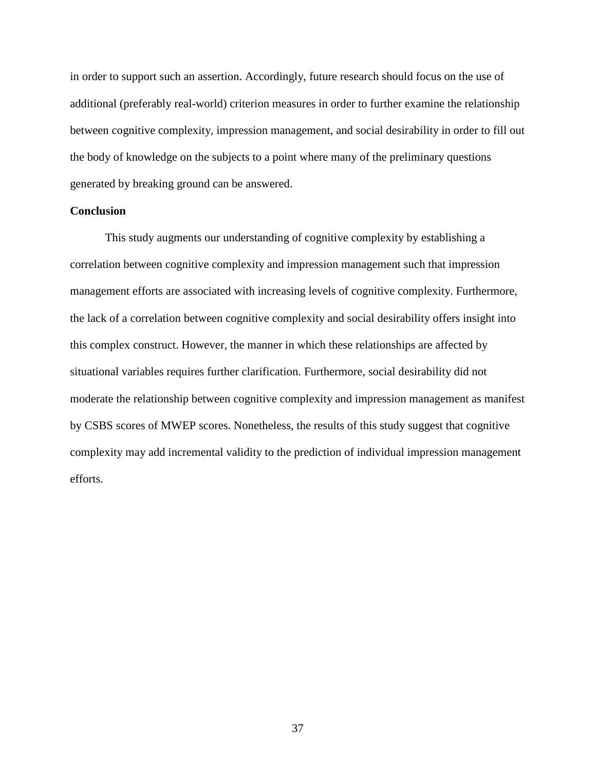in order to support such an assertion. Accordingly, future research should focus on the use of additional (preferably real-world) criterion measures in order to further examine the relationship between cognitive complexity, impression management, and social desirability in order to fill out the body of knowledge on the subjects to a point where many of the preliminary questions generated by breaking ground can be answered.

### **Conclusion**

This study augments our understanding of cognitive complexity by establishing a correlation between cognitive complexity and impression management such that impression management efforts are associated with increasing levels of cognitive complexity. Furthermore, the lack of a correlation between cognitive complexity and social desirability offers insight into this complex construct. However, the manner in which these relationships are affected by situational variables requires further clarification. Furthermore, social desirability did not moderate the relationship between cognitive complexity and impression management as manifest by CSBS scores of MWEP scores. Nonetheless, the results of this study suggest that cognitive complexity may add incremental validity to the prediction of individual impression management efforts.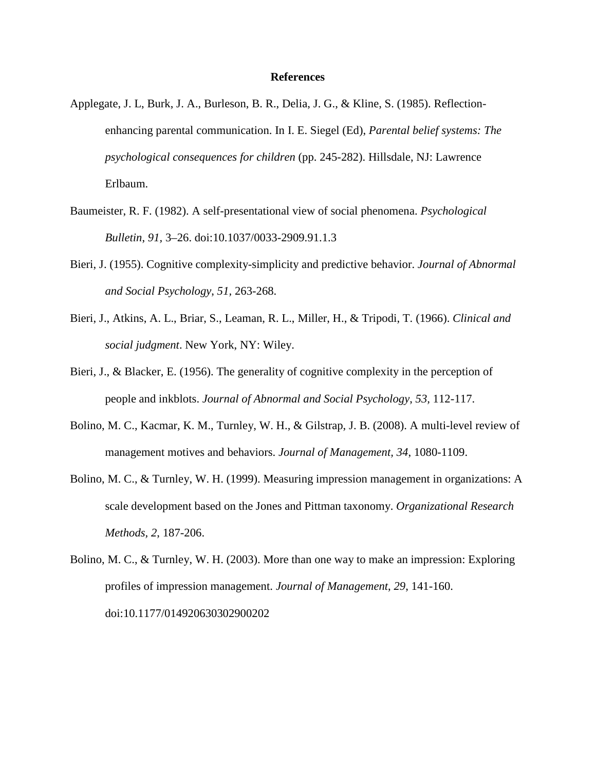## **References**

- Applegate, J. L, Burk, J. A., Burleson, B. R., Delia, J. G., & Kline, S. (1985). Reflectionenhancing parental communication. In I. E. Siegel (Ed), *Parental belief systems: The psychological consequences for children* (pp. 245-282). Hillsdale, NJ: Lawrence Erlbaum.
- Baumeister, R. F. (1982). A self-presentational view of social phenomena. *Psychological Bulletin*, *91,* 3–26. doi:10.1037/0033-2909.91.1.3
- Bieri, J. (1955). Cognitive complexity-simplicity and predictive behavior. *Journal of Abnormal and Social Psychology*, *51,* 263-268.
- Bieri, J., Atkins, A. L., Briar, S., Leaman, R. L., Miller, H., & Tripodi, T. (1966). *Clinical and social judgment*. New York, NY: Wiley.
- Bieri, J., & Blacker, E. (1956). The generality of cognitive complexity in the perception of people and inkblots. *Journal of Abnormal and Social Psychology*, *53,* 112-117.
- Bolino, M. C., Kacmar, K. M., Turnley, W. H., & Gilstrap, J. B. (2008). A multi-level review of management motives and behaviors. *Journal of Management, 34*, 1080-1109.
- Bolino, M. C., & Turnley, W. H. (1999). Measuring impression management in organizations: A scale development based on the Jones and Pittman taxonomy. *Organizational Research Methods, 2*, 187-206.
- Bolino, M. C., & Turnley, W. H. (2003). More than one way to make an impression: Exploring profiles of impression management. *Journal of Management*, *29*, 141-160. doi:10.1177/014920630302900202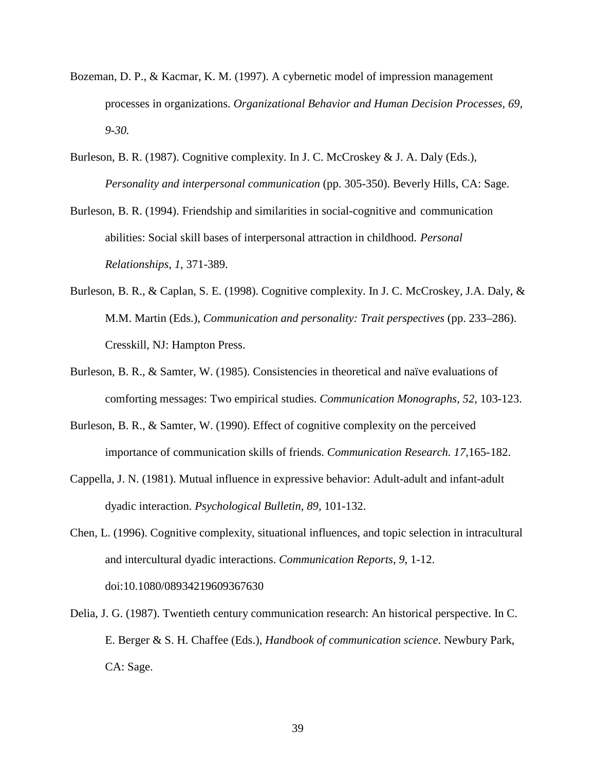- Bozeman, D. P., & Kacmar, K. M. (1997). A cybernetic model of impression management processes in organizations. *Organizational Behavior and Human Decision Processes, 69, 9-30.*
- Burleson, B. R. (1987). Cognitive complexity. In J. C. McCroskey & J. A. Daly (Eds.), *Personality and interpersonal communication* (pp. 305-350). Beverly Hills, CA: Sage.
- Burleson, B. R. (1994). Friendship and similarities in social-cognitive and communication abilities: Social skill bases of interpersonal attraction in childhood. *Personal Relationships*, *1,* 371-389.
- Burleson, B. R., & Caplan, S. E. (1998). Cognitive complexity. In J. C. McCroskey, J.A. Daly, & M.M. Martin (Eds.), *Communication and personality: Trait perspectives* (pp. 233–286). Cresskill, NJ: Hampton Press.
- Burleson, B. R., & Samter, W. (1985). Consistencies in theoretical and naïve evaluations of comforting messages: Two empirical studies. *Communication Monographs, 52,* 103-123.
- Burleson, B. R., & Samter, W. (1990). Effect of cognitive complexity on the perceived importance of communication skills of friends. *Communication Research. 17,*165- 182.
- Cappella, J. N. (1981). Mutual influence in expressive behavior: Adult-adult and infant-adult dyadic interaction. *Psychological Bulletin, 89,* 101-132.
- Chen, L. (1996). Cognitive complexity, situational influences, and topic selection in intracultural and intercultural dyadic interactions. *Communication Reports*, *9*, 1-12. doi:10.1080/08934219609367630
- Delia, J. G. (1987). Twentieth century communication research: An historical perspective. In C. E. Berger & S. H. Chaffee (Eds.), *Handbook of communication science*. Newbury Park, CA: Sage.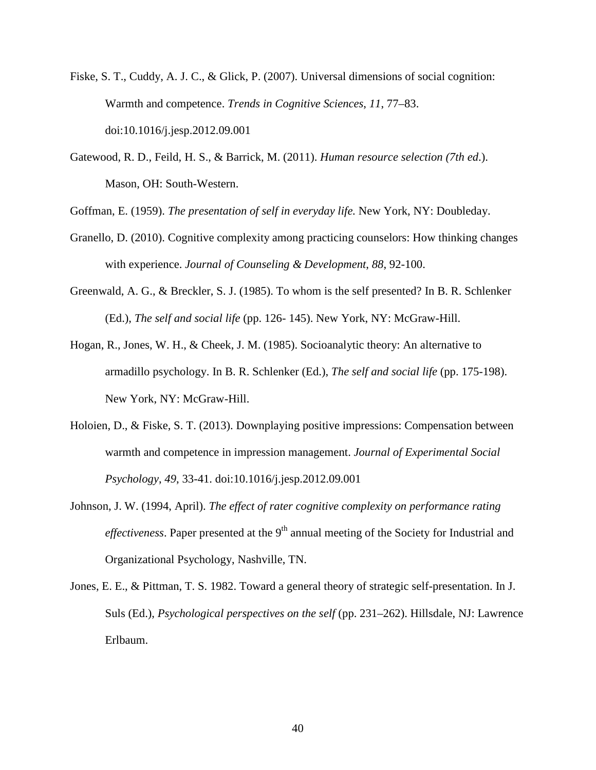- Fiske, S. T., Cuddy, A. J. C., & Glick, P. (2007). Universal dimensions of social cognition: Warmth and competence. *Trends in Cognitive Sciences*, *11*, 77–83. doi:10.1016/j.jesp.2012.09.001
- Gatewood, R. D., Feild, H. S., & Barrick, M. (2011). *Human resource selection (7th ed*.). Mason, OH: South-Western.

Goffman, E. (1959). *The presentation of self in everyday life.* New York, NY: Doubleday.

- Granello, D. (2010). Cognitive complexity among practicing counselors: How thinking changes with experience. *Journal of Counseling & Development*, *88*, 92-100.
- Greenwald, A. G., & Breckler, S. J. (1985). To whom is the self presented? In B. R. Schlenker (Ed.), *The self and social life* (pp. 126- 145). New York, NY: McGraw-Hill.
- Hogan, R., Jones, W. H., & Cheek, J. M. (1985). Socioanalytic theory: An alternative to armadillo psychology. In B. R. Schlenker (Ed.), *The self and social life* (pp. 175-198). New York, NY: McGraw-Hill.
- Holoien, D., & Fiske, S. T. (2013). Downplaying positive impressions: Compensation between warmth and competence in impression management. *Journal of Experimental Social Psychology*, *49*, 33-41. doi:10.1016/j.jesp.2012.09.001
- Johnson, J. W. (1994, April). *The effect of rater cognitive complexity on performance rating effectiveness*. Paper presented at the  $9<sup>th</sup>$  annual meeting of the Society for Industrial and Organizational Psychology, Nashville, TN.
- Jones, E. E., & Pittman, T. S. 1982. Toward a general theory of strategic self-presentation. In J. Suls (Ed.), *Psychological perspectives on the self* (pp. 231–262). Hillsdale, NJ: Lawrence Erlbaum.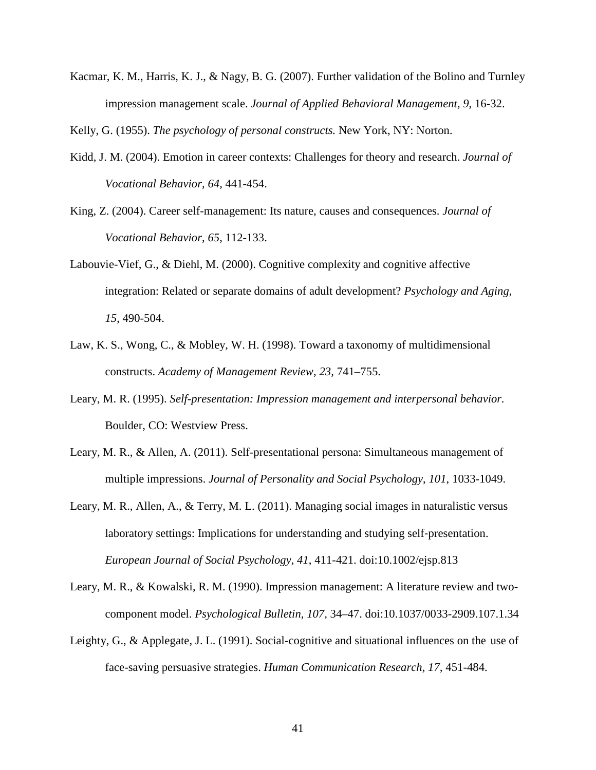Kacmar, K. M., Harris, K. J., & Nagy, B. G. (2007). Further validation of the Bolino and Turnley impression management scale. *Journal of Applied Behavioral Management, 9*, 16-32.

Kelly, G. (1955). *The psychology of personal constructs.* New York, NY: Norton.

- Kidd, J. M. (2004). Emotion in career contexts: Challenges for theory and research. *Journal of Vocational Behavior, 64*, 441-454.
- King, Z. (2004). Career self-management: Its nature, causes and consequences. *Journal of Vocational Behavior, 65*, 112-133.
- Labouvie-Vief, G., & Diehl, M. (2000). Cognitive complexity and cognitive affective integration: Related or separate domains of adult development? *Psychology and Aging*, *15*, 490-504.
- Law, K. S., Wong, C., & Mobley, W. H. (1998). Toward a taxonomy of multidimensional constructs. *Academy of Management Review*, *23,* 741–755.
- Leary, M. R. (1995). *Self-presentation: Impression management and interpersonal behavior.*  Boulder, CO: Westview Press.
- Leary, M. R., & Allen, A. (2011). Self-presentational persona: Simultaneous management of multiple impressions. *Journal of Personality and Social Psychology*, *101*, 1033-1049.
- Leary, M. R., Allen, A., & Terry, M. L. (2011). Managing social images in naturalistic versus laboratory settings: Implications for understanding and studying self‐presentation. *European Journal of Social Psychology*, *41*, 411-421. doi:10.1002/ejsp.813
- Leary, M. R., & Kowalski, R. M. (1990). Impression management: A literature review and twocomponent model. *Psychological Bulletin, 107,* 34–47. doi:10.1037/0033-2909.107.1.34
- Leighty, G., & Applegate, J. L. (1991). Social-cognitive and situational influences on the use of face-saving persuasive strategies. *Human Communication Research, 17,* 451-484.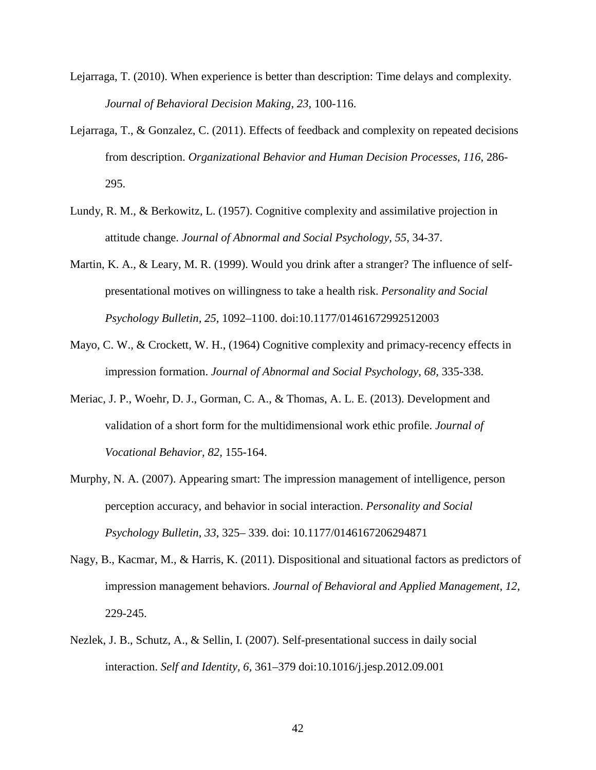- Lejarraga, T. (2010). When experience is better than description: Time delays and complexity. *Journal of Behavioral Decision Making*, *23*, 100-116.
- Lejarraga, T., & Gonzalez, C. (2011). Effects of feedback and complexity on repeated decisions from description. *Organizational Behavior and Human Decision Processes*, *116*, 286- 295.
- Lundy, R. M., & Berkowitz, L. (1957). Cognitive complexity and assimilative projection in attitude change. *Journal of Abnormal and Social Psychology*, *55*, 34-37.
- Martin, K. A., & Leary, M. R. (1999). Would you drink after a stranger? The influence of selfpresentational motives on willingness to take a health risk. *Personality and Social Psychology Bulletin, 25,* 1092–1100. doi:10.1177/01461672992512003
- Mayo, C. W., & Crockett, W. H., (1964) Cognitive complexity and primacy-recency effects in impression formation. *Journal of Abnormal and Social Psychology*, *68,* 335-338.
- Meriac, J. P., Woehr, D. J., Gorman, C. A., & Thomas, A. L. E. (2013). Development and validation of a short form for the multidimensional work ethic profile. *Journal of Vocational Behavior, 82,* 155-164.
- Murphy, N. A. (2007). Appearing smart: The impression management of intelligence, person perception accuracy, and behavior in social interaction. *Personality and Social Psychology Bulletin*, *33*, 325– 339. doi: 10.1177/0146167206294871
- Nagy, B., Kacmar, M., & Harris, K. (2011). Dispositional and situational factors as predictors of impression management behaviors. *Journal of Behavioral and Applied Management*, *12*, 229-245.
- Nezlek, J. B., Schutz, A., & Sellin, I. (2007). Self-presentational success in daily social interaction. *Self and Identity, 6,* 361–379 doi:10.1016/j.jesp.2012.09.001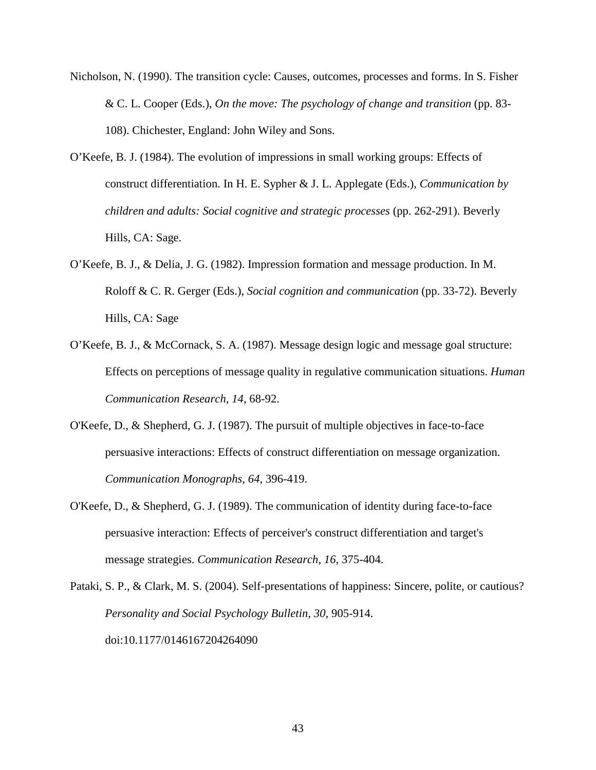- Nicholson, N. (1990). The transition cycle: Causes, outcomes, processes and forms. In S. Fisher & C. L. Cooper (Eds.), *On the move: The psychology of change and transition* (pp. 83- 108). Chichester, England: John Wiley and Sons.
- O'Keefe, B. J. (1984). The evolution of impressions in small working groups: Effects of construct differentiation. In H. E. Sypher & J. L. Applegate (Eds.), *Communication by children and adults: Social cognitive and strategic processes* (pp. 262-291). Beverly Hills, CA: Sage.
- O'Keefe, B. J., & Delia, J. G. (1982). Impression formation and message production. In M. Roloff & C. R. Gerger (Eds.), *Social cognition and communication* (pp. 33-72). Beverly Hills, CA: Sage
- O'Keefe, B. J., & McCornack, S. A. (1987). Message design logic and message goal structure: Effects on perceptions of message quality in regulative communication situations. *Human Communication Research, 14,* 68-92.
- O'Keefe, D., & Shepherd, G. J. (1987). The pursuit of multiple objectives in face-to-face persuasive interactions: Effects of construct differentiation on message organization. *Communication Monographs, 64,* 396-419.
- O'Keefe, D., & Shepherd, G. J. (1989). The communication of identity during face-to-face persuasive interaction: Effects of perceiver's construct differentiation and target's message strategies. *Communication Research, 16,* 375-404.
- Pataki, S. P., & Clark, M. S. (2004). Self-presentations of happiness: Sincere, polite, or cautious? *Personality and Social Psychology Bulletin*, *30*, 905-914. doi:10.1177/0146167204264090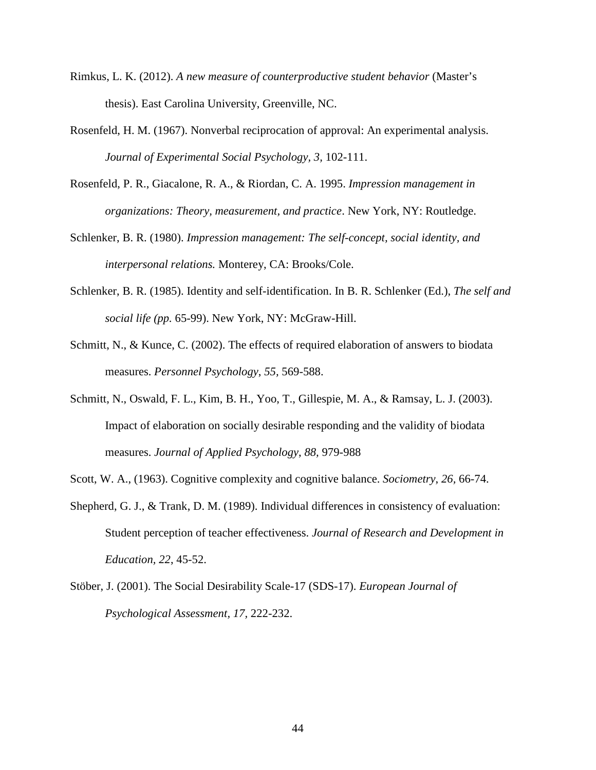- Rimkus, L. K. (2012). *A new measure of counterproductive student behavior* (Master's thesis). East Carolina University, Greenville, NC.
- Rosenfeld, H. M. (1967). Nonverbal reciprocation of approval: An experimental analysis. *Journal of Experimental Social Psychology, 3,* 102-111.
- Rosenfeld, P. R., Giacalone, R. A., & Riordan, C. A. 1995. *Impression management in organizations: Theory, measurement, and practice*. New York, NY: Routledge.
- Schlenker, B. R. (1980). *Impression management: The self-concept, social identity, and interpersonal relations.* Monterey, CA: Brooks/Cole.
- Schlenker, B. R. (1985). Identity and self-identification. In B. R. Schlenker (Ed.), *The self and social life (pp.* 65-99). New York, NY: McGraw-Hill.
- Schmitt, N., & Kunce, C. (2002). The effects of required elaboration of answers to biodata measures. *Personnel Psychology*, *55,* 569-588.
- Schmitt, N., Oswald, F. L., Kim, B. H., Yoo, T., Gillespie, M. A., & Ramsay, L. J. (2003). Impact of elaboration on socially desirable responding and the validity of biodata measures. *Journal of Applied Psychology*, *88,* 979-988
- Scott, W. A., (1963). Cognitive complexity and cognitive balance. *Sociometry*, *26,* 66-74.
- Shepherd, G. J., & Trank, D. M. (1989). Individual differences in consistency of evaluation: Student perception of teacher effectiveness. *Journal of Research and Development in Education, 22*, 45-52.
- Stöber, J. (2001). The Social Desirability Scale-17 (SDS-17). *European Journal of Psychological Assessment, 17,* 222-232.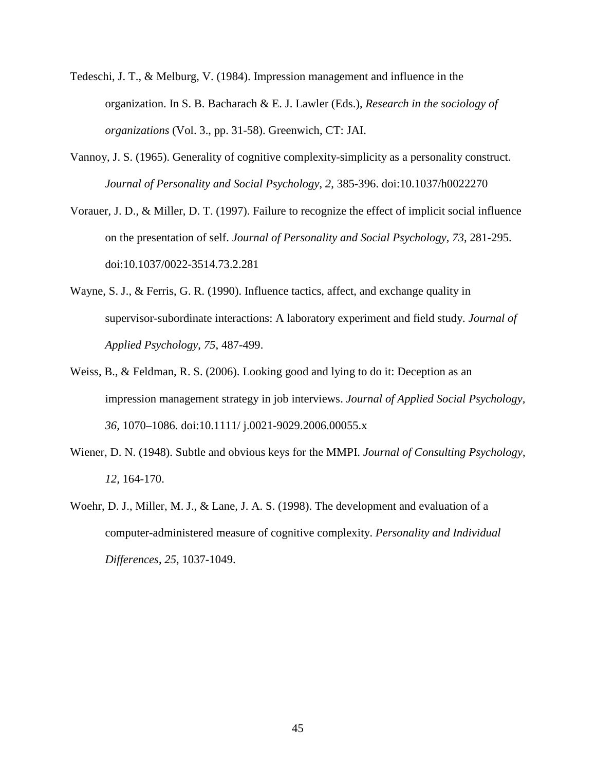- Tedeschi, J. T., & Melburg, V. (1984). Impression management and influence in the organization. In S. B. Bacharach & E. J. Lawler (Eds.), *Research in the sociology of organizations* (Vol. 3., pp. 31-58). Greenwich, CT: JAI.
- Vannoy, J. S. (1965). Generality of cognitive complexity-simplicity as a personality construct. *Journal of Personality and Social Psychology*, *2*, 385-396. doi:10.1037/h0022270
- Vorauer, J. D., & Miller, D. T. (1997). Failure to recognize the effect of implicit social influence on the presentation of self. *Journal of Personality and Social Psychology*, *73*, 281-295. doi:10.1037/0022-3514.73.2.281
- Wayne, S. J., & Ferris, G. R. (1990). Influence tactics, affect, and exchange quality in supervisor-subordinate interactions: A laboratory experiment and field study. *Journal of Applied Psychology*, *75*, 487-499.
- Weiss, B., & Feldman, R. S. (2006). Looking good and lying to do it: Deception as an impression management strategy in job interviews. *Journal of Applied Social Psychology, 36,* 1070–1086. doi:10.1111/ j.0021-9029.2006.00055.x
- Wiener, D. N. (1948). Subtle and obvious keys for the MMPI. *Journal of Consulting Psychology*, *12,* 164-170.
- Woehr, D. J., Miller, M. J., & Lane, J. A. S. (1998). The development and evaluation of a computer-administered measure of cognitive complexity. *Personality and Individual Differences*, *25*, 1037-1049.